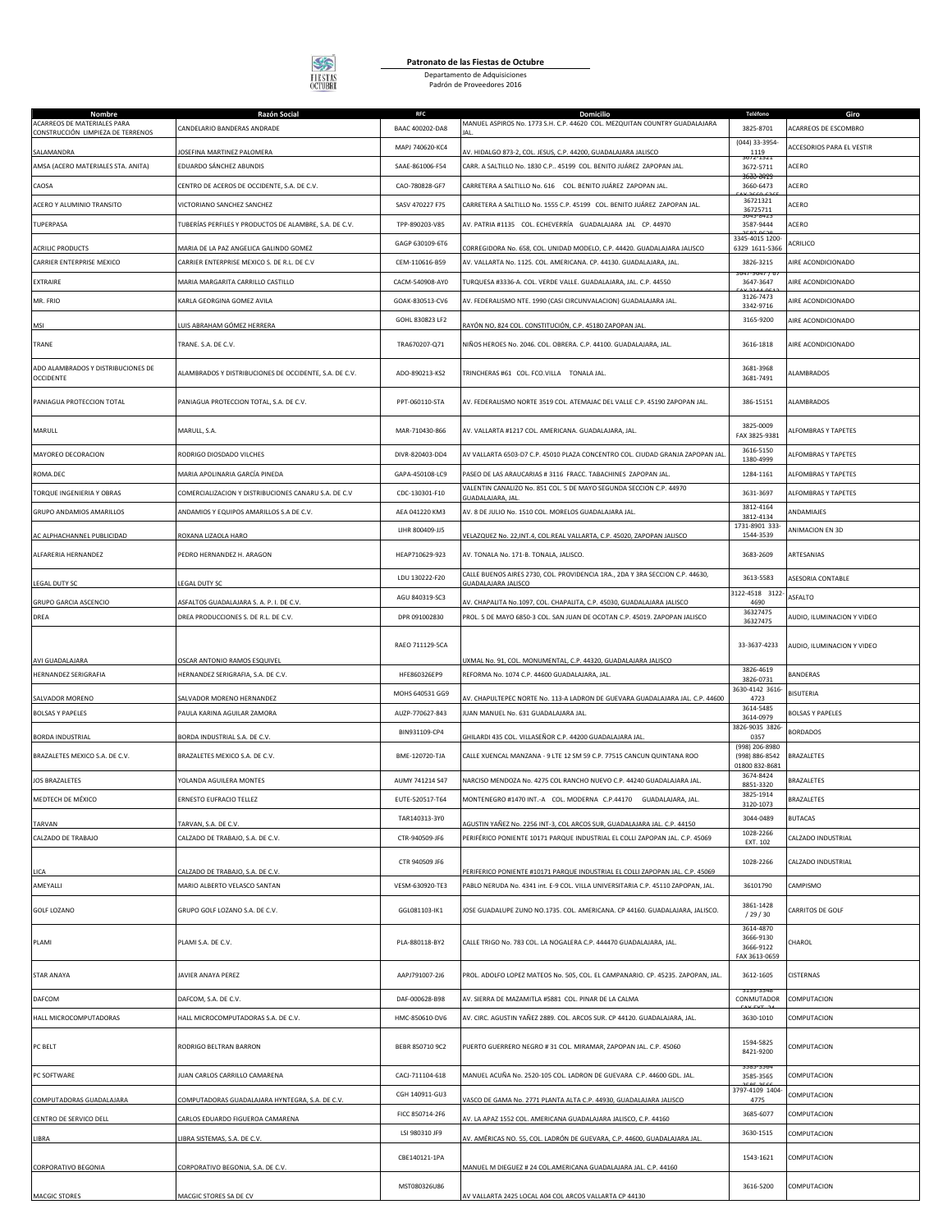

## **Patronato de las Fiestas de Octubre** Departamento de Adquisiciones Padrón de Proveedores 2016

| Nombre<br>ACARREOS DE MATERIALES PARA                | Razón Social<br>CANDELARIO BANDERAS ANDRADE                                           | <b>RFC</b><br>BAAC 400202-DA8 | Domicilio<br>MANUEL ASPIROS No. 1773 S.H. C.P. 44620 COL. MEZQUITAN COUNTRY GUADALAJARA                                                                  | Teléfono<br>3825-8701                              | Giro<br>ACARREOS DE ESCOMBRO     |
|------------------------------------------------------|---------------------------------------------------------------------------------------|-------------------------------|----------------------------------------------------------------------------------------------------------------------------------------------------------|----------------------------------------------------|----------------------------------|
| CONSTRUCCIÓN LIMPIEZA DE TERRENOS                    | JOSEFINA MARTINEZ PALOMERA                                                            | MAPJ 740620-KC4               | AV. HIDALGO 873-2, COL. JESUS, C.P. 44200, GUADALAJARA JALISCO                                                                                           | (044) 33-3954-<br>1119                             | <b>ACCESORIOS PARA EL VESTIR</b> |
| SALAMANDRA<br>AMSA (ACERO MATERIALES STA. ANITA)     | EDUARDO SÁNCHEZ ABUNDIS                                                               | SAAE-861006-F54               | CARR. A SALTILLO No. 1830 C.P., 45199 COL. BENITO JUÁREZ ZAPOPAN JAL.                                                                                    | 3672-5711                                          | ACERO                            |
| CAOSA                                                | CENTRO DE ACEROS DE OCCIDENTE, S.A. DE C.V.                                           | CAO-780828-GF7                | CARRETERA A SALTILLO No. 616    COL. BENITO JUÁREZ ZAPOPAN JAL.                                                                                          | ଳେ ଉଚ୍ଚ<br>3660-6473                               | ACERO                            |
| ACERO Y ALUMINIO TRANSITO                            | VICTORIANO SANCHEZ SANCHEZ                                                            | SASV 470227 F75               | CARRETERA A SALTILLO No. 1555 C.P. 45199   COL. BENITO JUÁREZ ZAPOPAN JAL.                                                                               | 36721321                                           | ACERO                            |
| TUPERPASA                                            | TUBERÍAS PERFILES Y PRODUCTOS DE ALAMBRE, S.A. DE C.V.                                | TPP-890203-V85                | AV. PATRIA #1135 COL. ECHEVERRÍA GUADALAJARA JAL CP. 44970                                                                                               | 36725711<br>3587-9444                              | ACERO                            |
|                                                      |                                                                                       | GAGP 630109-6T6               |                                                                                                                                                          | 3345-4015 1200                                     | ACRILICO                         |
| <b>ACRILIC PRODUCTS</b><br>CARRIER ENTERPRISE MEXICO | MARIA DE LA PAZ ANGELICA GALINDO GOMEZ<br>CARRIER ENTERPRISE MEXICO S. DE R.L. DE C.V | CEM-110616-B59                | CORREGIDORA No. 658, COL. UNIDAD MODELO, C.P. 44420. GUADALAJARA JALISCO<br>AV. VALLARTA No. 1125. COL. AMERICANA. CP. 44130. GUADALAJARA. JAL.          | 6329 1611-5366<br>3826-3215                        | AIRE ACONDICIONADO               |
| EXTRAIRE                                             | MARIA MARGARITA CARRILLO CASTILLO                                                     | CACM-540908-AY0               | TURQUESA #3336-A. COL. VERDE VALLE. GUADALAJARA, JAL. C.P. 44550                                                                                         | 3647-3647                                          | AIRE ACONDICIONADO               |
| MR. FRIO                                             | KARLA GEORGINA GOMEZ AVILA                                                            | GOAK-830513-CV6               | AV. FEDERALISMO NTE. 1990 (CASI CIRCUNVALACION) GUADALAJARA JAL.                                                                                         | 3126-7473                                          | AIRE ACONDICIONADO               |
|                                                      |                                                                                       | GOHL 830823 LF2               |                                                                                                                                                          | 3342-9716<br>3165-9200                             | AIRE ACONDICIONADO               |
| MSI                                                  | LUIS ABRAHAM GÓMEZ HERRERA                                                            |                               | RAYÓN NO, 824 COL. CONSTITUCIÓN, C.P. 45180 ZAPOPAN JAL                                                                                                  |                                                    |                                  |
| TRANE                                                | TRANE. S.A. DE C.V.                                                                   | TRA670207-Q71                 | NIÑOS HEROES No. 2046. COL. OBRERA. C.P. 44100. GUADALAJARA, JAL.                                                                                        | 3616-1818                                          | AIRE ACONDICIONADO               |
| ADO ALAMBRADOS Y DISTRIBUCIONES DE<br>OCCIDENTE      | ALAMBRADOS Y DISTRIBUCIONES DE OCCIDENTE, S.A. DE C.V.                                | ADO-890213-KS2                | TRINCHERAS #61 COL. FCO.VILLA TONALA JAL.                                                                                                                | 3681-3968<br>3681-7491                             | ALAMBRADOS                       |
| PANIAGUA PROTECCION TOTAL                            | PANIAGUA PROTECCION TOTAL, S.A. DE C.V.                                               | PPT-060110-STA                | AV. FEDERALISMO NORTE 3519 COL. ATEMAJAC DEL VALLE C.P. 45190 ZAPOPAN JAL.                                                                               | 386-15151                                          | <b>ALAMBRADOS</b>                |
| MARULL                                               | MARULL, S.A.                                                                          | MAR-710430-866                | AV. VALLARTA #1217 COL. AMERICANA. GUADALAJARA, JAL.                                                                                                     | 3825-0009<br>FAX 3825-9381                         | ALFOMBRAS Y TAPETES              |
| MAYOREO DECORACION                                   | RODRIGO DIOSDADO VILCHES                                                              | DIVR-820403-DD4               | AV VALLARTA 6503-D7 C.P. 45010 PLAZA CONCENTRO COL. CIUDAD GRANJA ZAPOPAN JAL                                                                            | 3616-5150<br>1380-4999                             | <b>LEOMBRAS Y TAPETES</b>        |
| ROMA.DEC                                             | MARIA APOLINARIA GARCÍA PINEDA                                                        | GAPA-450108-LC9               | PASEO DE LAS ARAUCARIAS # 3116 FRACC. TABACHINES ZAPOPAN JAL.                                                                                            | 1284-1161                                          | ALFOMBRAS Y TAPETES              |
| TORQUE INGENIERIA Y OBRAS                            | COMERCIALIZACION Y DISTRIBUCIONES CANARU S.A. DE C.V                                  | CDC-130301-F10                | ALENTIN CANALIZO No. 851 COL. 5 DE MAYO SEGUNDA SECCION C.P. 44970<br>GUADALAJARA, JAL                                                                   | 3631-3697                                          | ALFOMBRAS Y TAPETES              |
| <b>GRUPO ANDAMIOS AMARILLOS</b>                      | ANDAMIOS Y EQUIPOS AMARILLOS S.A DE C.V.                                              | AEA 041220 KM3                | AV. 8 DE JULIO No. 1510 COL. MORELOS GUADALAJARA JAL.                                                                                                    | 3812-4164<br>3812-4134                             | ANDAMIAJES                       |
| AC ALPHACHANNEL PUBLICIDAD                           | ROXANA LIZAOLA HARO                                                                   | LIHR 800409-JJ5               | VELAZQUEZ No. 22, INT.4, COL.REAL VALLARTA, C.P. 45020, ZAPOPAN JALISCO                                                                                  | 1731-8901 333<br>1544-3539                         | ANIMACION EN 3D                  |
| ALFARERIA HERNANDEZ                                  | PEDRO HERNANDEZ H. ARAGON                                                             | HEAP710629-923                | AV. TONALA No. 171-B. TONALA, JALISCO.                                                                                                                   | 3683-2609                                          | ARTESANIAS                       |
| LEGAL DUTY SC                                        | LEGAL DUTY SC                                                                         | LDU 130222-F20                | CALLE BUENOS AIRES 2730, COL. PROVIDENCIA 1RA., 2DA Y 3RA SECCION C.P. 44630,<br>GUADALAJARA JALISCO                                                     | 3613-5583                                          | ASESORIA CONTABLE                |
| GRUPO GARCIA ASCENCIO                                | ASFALTOS GUADALAJARA S. A. P. I. DE C.V.                                              | AGU 840319-SC3                | AV. CHAPALITA No.1097, COL. CHAPALITA, C.P. 45030, GUADALAJARA JALISCO                                                                                   | 3122-4518 3122<br>4690                             | ASFALTO                          |
| DREA                                                 | DREA PRODUCCIONES S. DE R.L. DE C.V.                                                  | DPR 091002830                 | PROL. 5 DE MAYO 6850-3 COL. SAN JUAN DE OCOTAN C.P. 45019. ZAPOPAN JALISCO                                                                               | 36327475<br>36327475                               | AUDIO, ILUMINACION Y VIDEO       |
| AVI GUADALAJARA                                      | OSCAR ANTONIO RAMOS ESQUIVEL                                                          | RAEO 711129-5CA               | UXMAL No. 91, COL. MONUMENTAL, C.P. 44320, GUADALAJARA JALISCO                                                                                           | 33-3637-4233                                       | AUDIO, ILUMINACION Y VIDEO       |
| <b>IERNANDEZ SERIGRAFIA</b>                          | HERNANDEZ SERIGRAFIA, S.A. DE C.V.                                                    | HFE860326EP9                  | REFORMA No. 1074 C.P. 44600 GUADALAJARA, JAL.                                                                                                            | 3826-4619<br>3826-0731                             | BANDERAS                         |
| SALVADOR MORENO                                      | SALVADOR MORENO HERNANDEZ                                                             | MOHS 640531 GG9               | AV. CHAPULTEPEC NORTE No. 113-A LADRON DE GUEVARA GUADALAJARA JAL. C.P. 44600                                                                            | 3630-4142 3616-<br>4723                            | BISUTERIA                        |
| <b>BOLSAS Y PAPELES</b>                              | PAULA KARINA AGUILAR ZAMORA                                                           | AUZP-770627-843               | IUAN MANUEL No. 631 GUADALAJARA JAL.                                                                                                                     | 3614-5485                                          | <b>BOLSAS Y PAPELES</b>          |
| <b>BORDA INDUSTRIAL</b>                              | BORDA INDUSTRIAL S.A. DE C.V.                                                         | BIN931109-CP4                 | GHILARDI 435 COL. VILLASEÑOR C.P. 44200 GUADALAJARA JAL                                                                                                  | 3614-0979<br>3826-9035 3826<br>0357                | <b>BORDADOS</b>                  |
| BRAZALETES MEXICO S.A. DE C.V.                       | BRAZALETES MEXICO S.A. DE C.V.                                                        | BME-120720-TJA                | CALLE XUENCAL MANZANA - 9 LTE 12 SM 59 C.P. 77515 CANCUN QUINTANA ROO                                                                                    | (998) 206-8980<br>(998) 886-8542<br>01800 832-8681 | BRAZALETES                       |
| JOS BRAZALETES                                       | YOLANDA AGUILERA MONTES                                                               | AUMY 741214 S47               | NARCISO MENDOZA No. 4275 COL RANCHO NUEVO C.P. 44240 GUADALAJARA JAL.                                                                                    | 3674-8424<br>8851-3320                             | BRAZALETES                       |
| MEDTECH DE MÉXICO                                    | <b>ERNESTO EUFRACIO TELLEZ</b>                                                        | EUTE-520517-T64               | MONTENEGRO #1470 INT.-A COL. MODERNA C.P.44170 GUADALAJARA, JAL.                                                                                         | 3825-1914<br>3120-1073                             | BRAZALETES                       |
|                                                      |                                                                                       | TAR140313-3Y0                 |                                                                                                                                                          | 3044-0489                                          | <b>BUTACAS</b>                   |
| TARVAN<br>CALZADO DE TRABAJO                         | TARVAN, S.A. DE C.V.<br>CALZADO DE TRABAJO, S.A. DE C.V.                              | CTR-940509-JF6                | AGUSTIN YAÑEZ No. 2256 INT-3, COL ARCOS SUR, GUADALAJARA JAL. C.P. 44150<br>PERIFÉRICO PONIENTE 10171 PARQUE INDUSTRIAL EL COLLI ZAPOPAN JAL. C.P. 45069 | 1028-2266                                          | CALZADO INDUSTRIAL               |
|                                                      |                                                                                       | CTR 940509 JF6                |                                                                                                                                                          | EXT. 102<br>1028-2266                              | CALZADO INDUSTRIAL               |
| LICA                                                 | CALZADO DE TRABAJO, S.A. DE C.V.                                                      |                               | PERIFERICO PONIENTE #10171 PARQUE INDUSTRIAL EL COLLI ZAPOPAN JAL. C.P. 45069                                                                            |                                                    |                                  |
| AMEYALLI                                             | MARIO ALBERTO VELASCO SANTAN                                                          | VESM-630920-TE3               | PABLO NERUDA No. 4341 int. E-9 COL. VILLA UNIVERSITARIA C.P. 45110 ZAPOPAN, JAL.                                                                         | 36101790                                           | CAMPISMO                         |
| <b>GOLF LOZANO</b>                                   | GRUPO GOLF LOZANO S.A. DE C.V.                                                        | GGL081103-IK1                 | JOSE GUADALUPE ZUNO NO.1735. COL. AMERICANA. CP 44160. GUADALAJARA, JALISCO.                                                                             | 3861-1428<br>/29/30<br>3614-4870                   | CARRITOS DE GOLF                 |
| PLAMI                                                | PLAMI S.A. DE C.V.                                                                    | PLA-880118-BY2                | CALLE TRIGO No. 783 COL. LA NOGALERA C.P. 444470 GUADALAJARA, JAL.                                                                                       | 3666-9130<br>3666-9122<br>FAX 3613-0659            | CHAROL                           |
| <b>STAR ANAYA</b>                                    | JAVIER ANAYA PEREZ                                                                    | AAPJ791007-2J6                | PROL. ADOLFO LOPEZ MATEOS No. 505, COL. EL CAMPANARIO. CP. 45235. ZAPOPAN, JAL.                                                                          | 3612-1605                                          | CISTERNAS                        |
| DAFCOM                                               | DAFCOM, S.A. DE C.V.                                                                  | DAF-000628-B98                | AV. SIERRA DE MAZAMITLA #5881 COL. PINAR DE LA CALMA                                                                                                     | CONMUTADOR                                         | COMPUTACION                      |
| HALL MICROCOMPUTADORAS                               | HALL MICROCOMPUTADORAS S.A. DE C.V.                                                   | HMC-850610-DV6                | AV. CIRC. AGUSTIN YAÑEZ 2889. COL. ARCOS SUR. CP 44120. GUADALAJARA, JAL.                                                                                | 3630-1010                                          | COMPUTACION                      |
| PC BELT                                              | RODRIGO BELTRAN BARRON                                                                | BEBR 850710 9C2               | PUERTO GUERRERO NEGRO # 31 COL. MIRAMAR, ZAPOPAN JAL. C.P. 45060                                                                                         | 1594-5825<br>8421-9200                             | COMPUTACION                      |
| PC SOFTWARE                                          | JUAN CARLOS CARRILLO CAMARENA                                                         | CACJ-711104-618               | MANUEL ACUÑA No. 2520-105 COL. LADRON DE GUEVARA  C.P. 44600 GDL. JAL.                                                                                   | 3585-3565                                          | COMPUTACION                      |
| COMPUTADORAS GUADALAJARA                             | COMPUTADORAS GUADALAJARA HYNTEGRA, S.A. DE C.V.                                       | CGH 140911-GU3                | VASCO DE GAMA No. 2771 PLANTA ALTA C.P. 44930, GUADALAJARA JALISCO                                                                                       | 3797-4109 1404-<br>4775                            | COMPUTACION                      |
| CENTRO DE SERVICO DELL                               | CARLOS EDUARDO FIGUEROA CAMARENA                                                      | FICC 850714-2F6               | AV. LA APAZ 1552 COL. AMERICANA GUADALAJARA JALISCO, C.P. 44160                                                                                          | 3685-6077                                          | COMPUTACION                      |
| LIBRA                                                | LIBRA SISTEMAS, S.A. DE C.V.                                                          | LSI 980310 JF9                | AV. AMÉRICAS NO. 55, COL. LADRÓN DE GUEVARA, C.P. 44600, GUADALAJARA JAL.                                                                                | 3630-1515                                          | COMPUTACION                      |
|                                                      |                                                                                       | CBE140121-1PA                 |                                                                                                                                                          | 1543-1621                                          | COMPUTACION                      |
| CORPORATIVO BEGONIA                                  | CORPORATIVO BEGONIA, S.A. DE C.V.                                                     | MST080326U86                  | MANUEL M DIEGUEZ # 24 COL.AMERICANA GUADALAJARA JAL. C.P. 44160                                                                                          | 3616-5200                                          | COMPUTACION                      |
| MACGIC STORES                                        | MACGIC STORES SA DE CV                                                                |                               | AV VALLARTA 2425 LOCAL A04 COL ARCOS VALLARTA CP 44130                                                                                                   |                                                    |                                  |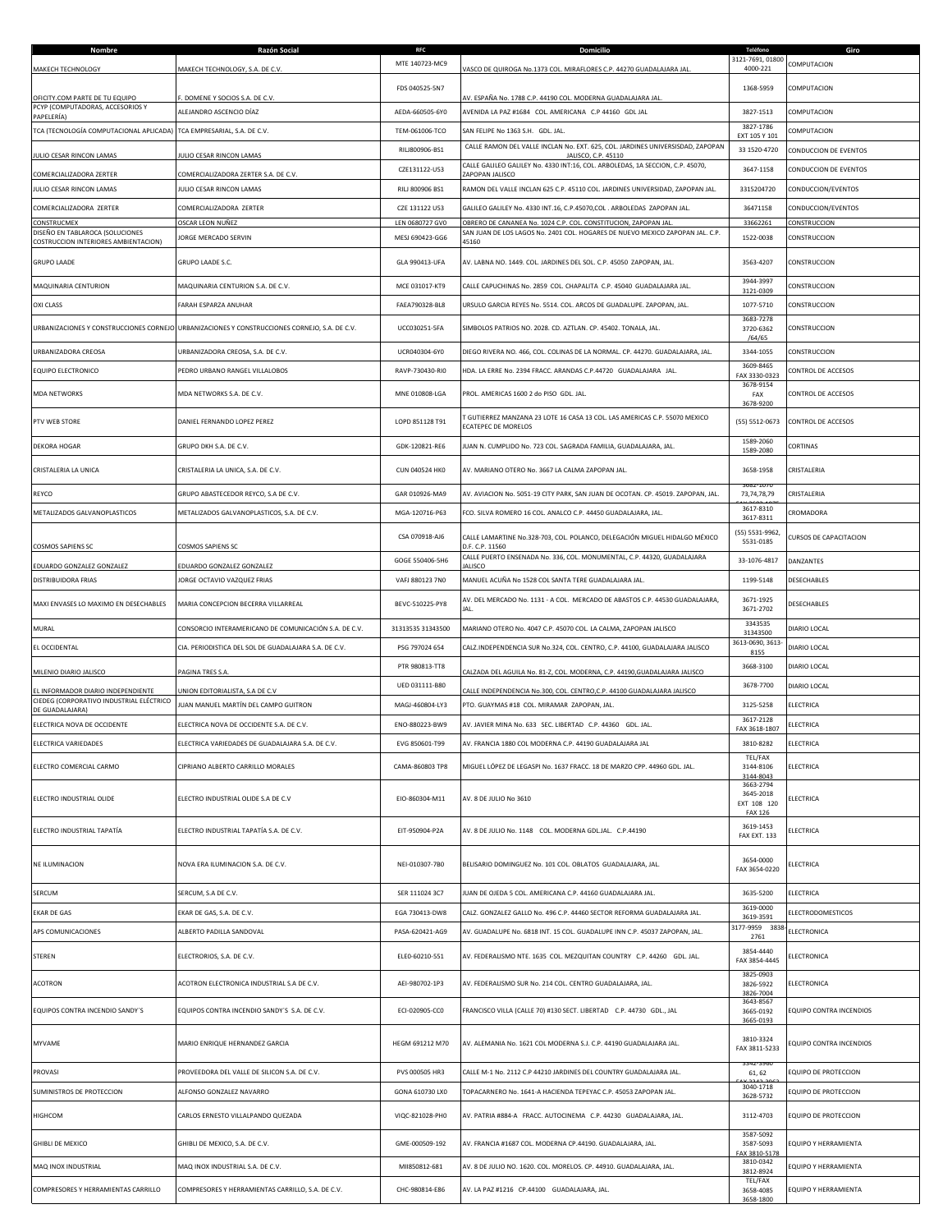| Nombre                                                                  | Razón Social                                                                                  | <b>RFC</b><br>MTE 140723-MC9 | Domicilio                                                                                             | Teléfono<br>3121-7691, 01800            | Giro<br>COMPUTACION     |
|-------------------------------------------------------------------------|-----------------------------------------------------------------------------------------------|------------------------------|-------------------------------------------------------------------------------------------------------|-----------------------------------------|-------------------------|
| MAKECH TECHNOLOGY                                                       | MAKECH TECHNOLOGY, S.A. DE C.V.                                                               |                              | ASCO DE QUIROGA No.1373 COL. MIRAFLORES C.P. 44270 GUADALAJARA JAL.                                   | 4000-221                                |                         |
| OFICITY.COM PARTE DE TU EQUIPO                                          | DOMENE Y SOCIOS S.A. DE C.V.                                                                  | FDS 040525-5N7               | AV. ESPAÑA No. 1788 C.P. 44190 COL. MODERNA GUADALAJARA JAL                                           | 1368-5959                               | COMPUTACION             |
| PCYP (COMPUTADORAS, ACCESORIOS Y<br>PAPELERÍA)                          | ALEJANDRO ASCENCIO DÍAZ                                                                       | AEDA-660505-6Y0              | AVENIDA LA PAZ #1684 COL. AMERICANA C.P 44160 GDL JAL                                                 | 3827-1513                               | COMPUTACION             |
| TCA (TECNOLOGÍA COMPUTACIONAL APLICADA)                                 | TCA EMPRESARIAL, S.A. DE C.V.                                                                 | TEM-061006-TCO               | SAN FELIPE No 1363 S.H. GDL. JAL.                                                                     | 3827-1786<br>EXT 105 Y 101              | COMPUTACION             |
| JULIO CESAR RINCON LAMAS                                                | ULIO CESAR RINCON LAMAS                                                                       | RILJ800906-BS1               | CALLE RAMON DEL VALLE INCLAN No. EXT. 625, COL. JARDINES UNIVERSISDAD, ZAPOPAN<br>JALISCO, C.P. 45110 | 33 1520-4720                            | CONDUCCION DE EVENTOS   |
| COMERCIALIZADORA ZERTER                                                 | COMERCIALIZADORA ZERTER S.A. DE C.V.                                                          | CZE131122-U53                | CALLE GALILEO GALILEY No. 4330 INT:16, COL. ARBOLEDAS, 1A SECCION, C.P. 45070,<br>ZAPOPAN JALISCO     | 3647-1158                               | CONDUCCION DE EVENTOS   |
| JULIO CESAR RINCON LAMAS                                                | JULIO CESAR RINCON LAMAS                                                                      | RILJ 800906 BS1              | RAMON DEL VALLE INCLAN 625 C.P. 45110 COL. JARDINES UNIVERSIDAD, ZAPOPAN JAL.                         | 3315204720                              | CONDUCCION/EVENTOS      |
| COMERCIALIZADORA ZERTER                                                 | COMERCIALIZADORA ZERTER                                                                       | CZE 131122 U53               | GALILEO GALILEY No. 4330 INT.16, C.P.45070,COL . ARBOLEDAS ZAPOPAN JAL                                | 36471158                                | CONDUCCION/EVENTOS      |
| CONSTRUCMEX                                                             | OSCAR LEON NUÑEZ                                                                              | LEN 0680727 GV0              | OBRERO DE CANANEA No. 1024 C.P. COL. CONSTITUCION, ZAPOPAN JAL                                        | 33662261                                | CONSTRUCCION            |
| DISEÑO EN TABLAROCA (SOLUCIONES<br>COSTRUCCION INTERIORES AMBIENTACION) | JORGE MERCADO SERVIN                                                                          | MESJ 690423-GG6              | SAN JUAN DE LOS LAGOS No. 2401 COL. HOGARES DE NUEVO MEXICO ZAPOPAN JAL. C.P.<br>45160                | 1522-0038                               | CONSTRUCCION            |
| <b>GRUPO LAADE</b>                                                      | GRUPO LAADE S.C.                                                                              | GLA 990413-UFA               | AV. LABNA NO. 1449. COL. JARDINES DEL SOL. C.P. 45050 ZAPOPAN, JAL.                                   | 3563-4207                               | CONSTRUCCION            |
| MAQUINARIA CENTURION                                                    | MAQUINARIA CENTURION S.A. DE C.V.                                                             | MCE 031017-KT9               | CALLE CAPUCHINAS No. 2859 COL. CHAPALITA C.P. 45040 GUADALAJARA JAL.                                  | 3944-3997<br>3121-0309                  | CONSTRUCCION            |
| <b>OXI CLASS</b>                                                        | FARAH ESPARZA ANUHAR                                                                          | FAEA790328-BL8               | URSULO GARCIA REYES No. 5514. COL. ARCOS DE GUADALUPE. ZAPOPAN, JAL.                                  | 1077-5710                               | CONSTRUCCION            |
|                                                                         | URBANIZACIONES Y CONSTRUCCIONES CORNEJO URBANIZACIONES Y CONSTRUCCIONES CORNEJO, S.A. DE C.V. | UCC030251-5FA                | SIMBOLOS PATRIOS NO. 2028. CD. AZTLAN. CP. 45402. TONALA, JAL.                                        | 3683-7278<br>3720-6362<br>/64/65        | CONSTRUCCION            |
| URBANIZADORA CREOSA                                                     | URBANIZADORA CREOSA, S.A. DE C.V.                                                             | UCR040304-6Y0                | DIEGO RIVERA NO. 466, COL. COLINAS DE LA NORMAL. CP. 44270. GUADALAJARA, JAL.                         | 3344-1055                               | CONSTRUCCION            |
| EQUIPO ELECTRONICO                                                      | PEDRO URBANO RANGEL VILLALOBOS                                                                | RAVP-730430-RIO              | HDA. LA ERRE No. 2394 FRACC. ARANDAS C.P.44720 GUADALAJARA JAL.                                       | 3609-8465<br>FAX 3330-0323              | CONTROL DE ACCESOS      |
| <b>MDA NETWORKS</b>                                                     | MDA NETWORKS S.A. DE C.V.                                                                     | MNE 010808-LGA               | PROL. AMERICAS 1600 2 do PISO GDL. JAL.                                                               | 3678-9154<br>FAX                        | CONTROL DE ACCESOS      |
|                                                                         |                                                                                               |                              | T GUTIERREZ MANZANA 23 LOTE 16 CASA 13 COL. LAS AMERICAS C.P. 55070 MEXICO                            | 3678-9200                               |                         |
| PTV WEB STORE                                                           | DANIEL FERNANDO LOPEZ PEREZ                                                                   | LOPD 851128 T91              | ECATEPEC DE MORELOS                                                                                   | (55) 5512-0673                          | CONTROL DE ACCESOS      |
| <b>DEKORA HOGAR</b>                                                     | GRUPO DKH S.A. DE C.V.                                                                        | GDK-120821-RE6               | JUAN N. CUMPLIDO No. 723 COL. SAGRADA FAMILIA, GUADALAJARA, JAL.                                      | 1589-2060<br>1589-2080                  | CORTINAS                |
| CRISTALERIA LA UNICA                                                    | CRISTALERIA LA UNICA, S.A. DE C.V.                                                            | <b>CUN 040524 HKO</b>        | AV. MARIANO OTERO No. 3667 LA CALMA ZAPOPAN JAL.                                                      | 3658-1958<br>002-107                    | CRISTALERIA             |
| REYCO                                                                   | GRUPO ABASTECEDOR REYCO, S.A DE C.V.                                                          | GAR 010926-MA9               | AV. AVIACION No. 5051-19 CITY PARK, SAN JUAN DE OCOTAN. CP. 45019. ZAPOPAN, JAL.                      | 73,74,78,79                             | CRISTALERIA             |
| METALIZADOS GALVANOPLASTICOS                                            | METALIZADOS GALVANOPLASTICOS, S.A. DE C.V.                                                    | MGA-120716-P63               | FCO. SILVA ROMERO 16 COL. ANALCO C.P. 44450 GUADALAJARA, JAL.                                         | 3617-8310<br>3617-8311                  | CROMADORA               |
| <b>COSMOS SAPIENS SC</b>                                                | COSMOS SAPIENS SC                                                                             | CSA 070918-AJ6               | CALLE LAMARTINE No.328-703, COL. POLANCO, DELEGACIÓN MIGUEL HIDALGO MÉXICO<br>D.F. C.P. 11560         | (55) 5531-9962<br>5531-0185             | CURSOS DE CAPACITACION  |
|                                                                         |                                                                                               | GOGE 550406-5H6              | CALLE PUERTO ENSENADA No. 336, COL. MONUMENTAL, C.P. 44320, GUADALAJARA                               | 33-1076-4817                            | DANZANTES               |
| EDUARDO GONZALEZ GONZALEZ<br>DISTRIBUIDORA FRIAS                        | EDUARDO GONZALEZ GONZALEZ<br>JORGE OCTAVIO VAZQUEZ FRIAS                                      | VAFJ 880123 7N0              | <b>ALISCO</b><br>MANUEL ACUÑA No 1528 COL SANTA TERE GUADALAJARA JAL.                                 | 1199-5148                               | DESECHABLES             |
| MAXI ENVASES LO MAXIMO EN DESECHABLES                                   | MARIA CONCEPCION BECERRA VILLARREAL                                                           | BEVC-510225-PY8              | AV. DEL MERCADO No. 1131 - A COL. MERCADO DE ABASTOS C.P. 44530 GUADALAJARA,                          | 3671-1925                               | DESECHABLES             |
|                                                                         |                                                                                               |                              | JAL.                                                                                                  | 3671-2702<br>3343535                    |                         |
| MURAL                                                                   | CONSORCIO INTERAMERICANO DE COMUNICACIÓN S.A. DE C.V.                                         | 31313535 31343500            | MARIANO OTERO No. 4047 C.P. 45070 COL. LA CALMA, ZAPOPAN JALISCO                                      | 31343500<br>3613-0690, 3613-            | DIARIO LOCAL            |
| EL OCCIDENTAL                                                           | CIA. PERIODISTICA DEL SOL DE GUADALAJARA S.A. DE C.V.                                         | PSG 797024 654               | CALZ.INDEPENDENCIA SUR No.324, COL. CENTRO, C.P. 44100, GUADALAJARA JALISCO                           | 8155                                    | DIARIO LOCAL            |
| MILENIO DIARIO JALISCO                                                  | PAGINA TRES S.A.                                                                              | PTR 980813-TT8               | CALZADA DEL AGUILA No. 81-Z, COL. MODERNA, C.P. 44190, GUADALAJARA JALISCO                            | 3668-3100                               | DIARIO LOCAL            |
| EL INFORMADOR DIARIO INDEPENDIENTE                                      | JNION EDITORIALISTA, S.A DE C.V                                                               | UED 031111-B80               | ALLE INDEPENDENCIA No.300, COL. CENTRO,C.P. 44100 GUADALAJARA JALISCO                                 | 3678-7700                               | DIARIO LOCAL            |
| CIEDEG (CORPORATIVO INDUSTRIAL ELÉCTRICO<br>DE GUADALAJARA)             | JUAN MANUEL MARTÍN DEL CAMPO GUITRON                                                          | MAGJ-460804-LY3              | PTO. GUAYMAS #18 COL. MIRAMAR ZAPOPAN, JAL.                                                           | 3125-5258                               | ELECTRICA               |
| ELECTRICA NOVA DE OCCIDENTE                                             | ELECTRICA NOVA DE OCCIDENTE S.A. DE C.V.                                                      | ENO-880223-BW9               | AV. JAVIER MINA No. 633 SEC. LIBERTAD C.P. 44360 GDL. JAL.                                            | 3617-2128<br>FAX 3618-1807              | ELECTRICA               |
| <b>FIFCTRICA VARIEDADES</b>                                             | FLECTRICA VARIEDADES DE GUADALAIARA S.A. DE C.V.                                              | FVG 850601-T99               | AV. FRANCIA 1880 COL MODERNA C.P. 44190 GUADALAJARA JAL                                               | 3810-8282                               | <b>FIFCTRICA</b>        |
| ELECTRO COMERCIAL CARMO                                                 | CIPRIANO ALBERTO CARRILLO MORALES                                                             | CAMA-860803 TP8              | MIGUEL LÓPEZ DE LEGASPI No. 1637 FRACC. 18 DE MARZO CPP. 44960 GDL. JAL                               | TEL/FAX<br>3144-8106<br>3144-8043       | ELECTRICA               |
| ELECTRO INDUSTRIAL OLIDE                                                | ELECTRO INDUSTRIAL OLIDE S.A DE C.V                                                           | EIO-860304-M11               | AV. 8 DE JULIO No 3610                                                                                | 3663-2794<br>3645-2018<br>EXT 108 120   | ELECTRICA               |
|                                                                         |                                                                                               |                              |                                                                                                       | <b>FAX 126</b>                          |                         |
| ELECTRO INDUSTRIAL TAPATÍA                                              | ELECTRO INDUSTRIAL TAPATÍA S.A. DE C.V.                                                       | EIT-950904-P2A               | AV. 8 DE JULIO No. 1148 COL. MODERNA GDL.JAL. C.P.44190                                               | 3619-1453<br><b>FAX EXT. 133</b>        | ELECTRICA               |
| <b>NE ILUMINACION</b>                                                   | NOVA ERA ILUMINACION S.A. DE C.V.                                                             | NEI-010307-7B0               | BELISARIO DOMINGUEZ No. 101 COL. OBLATOS GUADALAJARA, JAL.                                            | 3654-0000<br>FAX 3654-0220              | ELECTRICA               |
| SERCUM                                                                  | SERCUM, S.A DE C.V.                                                                           | SER 111024 3C7               | JUAN DE OJEDA 5 COL. AMERICANA C.P. 44160 GUADALAJARA JAL.                                            | 3635-5200                               | ELECTRICA               |
| <b>EKAR DE GAS</b>                                                      | EKAR DE GAS, S.A. DE C.V.                                                                     | EGA 730413-DW8               | CALZ. GONZALEZ GALLO No. 496 C.P. 44460 SECTOR REFORMA GUADALAJARA JAL.                               | 3619-0000<br>3619-3591                  | ELECTRODOMESTICOS       |
| APS COMUNICACIONES                                                      | ALBERTO PADILLA SANDOVAL                                                                      | PASA-620421-AG9              | AV. GUADALUPE No. 6818 INT. 15 COL. GUADALUPE INN C.P. 45037 ZAPOPAN, JAL.                            | 3177-9959 3838<br>2761                  | ELECTRONICA             |
| STEREN                                                                  | ELECTRORIOS, S.A. DE C.V.                                                                     | ELEO-60210-551               | AV. FEDERALISMO NTE. 1635 COL. MEZQUITAN COUNTRY C.P. 44260 GDL. JAL.                                 | 3854-4440<br>FAX 3854-4445              | ELECTRONICA             |
| <b>ACOTRON</b>                                                          | ACOTRON ELECTRONICA INDUSTRIAL S.A DE C.V.                                                    | AEI-980702-1P3               | AV. FEDERALISMO SUR No. 214 COL. CENTRO GUADALAJARA, JAL.                                             | 3825-0903<br>3826-5922                  | ELECTRONICA             |
| EQUIPOS CONTRA INCENDIO SANDY'S                                         | EQUIPOS CONTRA INCENDIO SANDY'S S.A. DE C.V.                                                  | ECI-020905-CC0               | FRANCISCO VILLA (CALLE 70) #130 SECT. LIBERTAD C.P. 44730 GDL., JAL                                   | 3826-7004<br>3643-8567<br>3665-0192     | EQUIPO CONTRA INCENDIOS |
|                                                                         |                                                                                               |                              |                                                                                                       | 3665-0193<br>3810-3324                  |                         |
| MYVAME                                                                  | MARIO ENRIQUE HERNANDEZ GARCIA                                                                | HEGM 691212 M70              | AV. ALEMANIA No. 1621 COL MODERNA S.J. C.P. 44190 GUADALAJARA JAL.                                    | FAX 3811-5233                           | EQUIPO CONTRA INCENDIOS |
| PROVASI                                                                 | PROVEEDORA DEL VALLE DE SILICON S.A. DE C.V.                                                  | PVS 000505 HR3               | CALLE M-1 No. 2112 C.P 44210 JARDINES DEL COUNTRY GUADALAJARA JAL.                                    | 61, 62                                  | EQUIPO DE PROTECCION    |
| SUMINISTROS DE PROTECCION                                               | ALFONSO GONZALEZ NAVARRO                                                                      | GONA 610730 LX0              | TOPACARNERO No. 1641-A HACIENDA TEPEYAC C.P. 45053 ZAPOPAN JAL.                                       | 3040-1718<br>3628-5732                  | EQUIPO DE PROTECCION    |
| <b>HIGHCOM</b>                                                          | CARLOS ERNESTO VILLALPANDO QUEZADA                                                            | VIQC-821028-PH0              | AV. PATRIA #884-A FRACC. AUTOCINEMA C.P. 44230 GUADALAJARA, JAL.                                      | 3112-4703                               | EQUIPO DE PROTECCION    |
| <b>GHIBLI DE MEXICO</b>                                                 | GHIBLI DE MEXICO, S.A. DE C.V.                                                                | GME-000509-192               | AV. FRANCIA #1687 COL. MODERNA CP.44190. GUADALAJARA, JAL.                                            | 3587-5092<br>3587-5093<br>FAX 3810-5178 | EQUIPO Y HERRAMIENTA    |
| MAQ INOX INDUSTRIAL                                                     | MAQ INOX INDUSTRIAL S.A. DE C.V.                                                              | MII850812-681                | AV. 8 DE JULIO NO. 1620. COL. MORELOS. CP. 44910. GUADALAJARA, JAL.                                   | 3810-0342<br>3812-8924                  | EQUIPO Y HERRAMIENTA    |
| COMPRESORES Y HERRAMIENTAS CARRILLO                                     | COMPRESORES Y HERRAMIENTAS CARRILLO, S.A. DE C.V.                                             | CHC-980814-E86               | AV. LA PAZ #1216 CP.44100 GUADALAJARA, JAL.                                                           | TEL/FAX<br>3658-4085<br>3658-1800       | EQUIPO Y HERRAMIENTA    |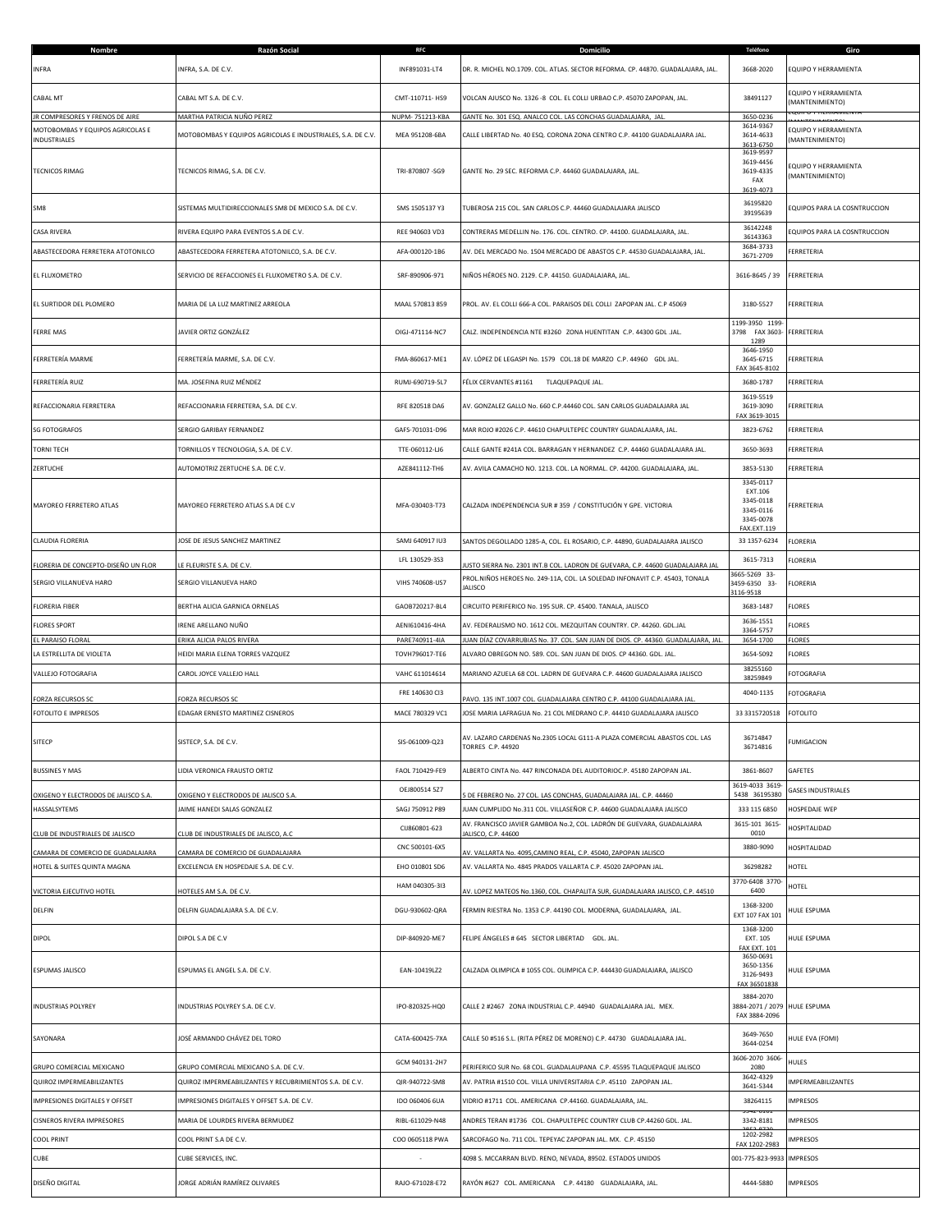| Nombre                                                              |                                                                     |                 |                                                                                                                                        |                                                             |                                               |
|---------------------------------------------------------------------|---------------------------------------------------------------------|-----------------|----------------------------------------------------------------------------------------------------------------------------------------|-------------------------------------------------------------|-----------------------------------------------|
| <b>INFRA</b>                                                        | INFRA, S.A. DE C.V.                                                 | INF891031-LT4   | DR. R. MICHEL NO.1709. COL. ATLAS. SECTOR REFORMA. CP. 44870. GUADALAJARA, JAL.                                                        | 3668-2020                                                   | EQUIPO Y HERRAMIENTA                          |
| CABAL MT                                                            | CABAL MT S.A. DE C.V.                                               | CMT-110711-HS9  | /OLCAN AJUSCO No. 1326 -8 COL. EL COLLI URBAO C.P. 45070 ZAPOPAN, JAL.                                                                 | 38491127                                                    | QUIPO Y HERRAMIENTA                           |
|                                                                     |                                                                     |                 |                                                                                                                                        |                                                             | MANTENIMIENTO)                                |
| IR COMPRESORES Y FRENOS DE AIRE<br>MOTOBOMBAS Y EQUIPOS AGRICOLAS E | MARTHA PATRICIA NUÑO PEREZ                                          | NUPM-751213-KBA | GANTE No. 301 ESQ. ANALCO COL. LAS CONCHAS GUADALAJARA, JAL.                                                                           | 3650-0236<br>3614-9367                                      | QUIPO Y HERRAMIENTA                           |
| <b>NDUSTRIALES</b>                                                  | MOTOBOMBAS Y EQUIPOS AGRICOLAS E INDUSTRIALES, S.A. DE C.V          | MEA 951208-6BA  | CALLE LIBERTAD No. 40 ESQ. CORONA ZONA CENTRO C.P. 44100 GUADALAJARA JAL.                                                              | 3614-4633<br>3613-6750                                      | MANTENIMIENTO)                                |
| TECNICOS RIMAG                                                      | TECNICOS RIMAG, S.A. DE C.V.                                        | TRI-870807-SG9  | GANTE No. 29 SEC. REFORMA C.P. 44460 GUADALAJARA, JAL.                                                                                 | 3619-9597<br>3619-4456<br>3619-4335<br>FAX                  | <b>EQUIPO Y HERRAMIENTA</b><br>MANTENIMIENTO) |
| SM8                                                                 | SISTEMAS MULTIDIRECCIONALES SM8 DE MEXICO S.A. DE C.V.              | SMS 1505137 Y3  | TUBEROSA 215 COL. SAN CARLOS C.P. 44460 GUADALAJARA JALISCO                                                                            | 3619-4073<br>36195820<br>39195639                           | EQUIPOS PARA LA COSNTRUCCION                  |
| CASA RIVERA                                                         | RIVERA EQUIPO PARA EVENTOS S.A DE C.V.                              | REE 940603 VD3  | CONTRERAS MEDELLIN No. 176. COL. CENTRO. CP. 44100. GUADALAJARA, JAL.                                                                  | 36142248<br>36143363                                        | EQUIPOS PARA LA COSNTRUCCION                  |
| ABASTECEDORA FERRETERA ATOTONILCO                                   | ABASTECEDORA FERRETERA ATOTONILCO, S.A. DE C.V.                     | AFA-000120-1B6  | AV. DEL MERCADO No. 1504 MERCADO DE ABASTOS C.P. 44530 GUADALAJARA, JAL.                                                               | 3684-3733                                                   | FERRETERIA                                    |
| EL FLUXOMETRO                                                       | SERVICIO DE REFACCIONES EL FLUXOMETRO S.A. DE C.V.                  | SRF-890906-971  | NIÑOS HÉROES NO. 2129. C.P. 44150. GUADALAJARA, JAL.                                                                                   | 3671-2709<br>3616-8645 / 39                                 | FERRETERIA                                    |
| EL SURTIDOR DEL PLOMERO                                             | MARIA DE LA LUZ MARTINEZ ARREOLA                                    | MAAL 570813 859 | PROL. AV. EL COLLI 666-A COL. PARAISOS DEL COLLI ZAPOPAN JAL. C.P 45069                                                                | 3180-5527                                                   | FERRETERIA                                    |
| FERRE MAS                                                           | JAVIER ORTIZ GONZÁLEZ                                               | OIGJ-471114-NC7 | CALZ. INDEPENDENCIA NTE #3260 ZONA HUENTITAN C.P. 44300 GDL .JAL.                                                                      | 1199-3950 1199<br>3798 FAX 3603- FERRETERIA<br>1289         |                                               |
| FERRETERÍA MARME                                                    | FERRETERÍA MARME, S.A. DE C.V.                                      | FMA-860617-ME1  | AV. LÓPEZ DE LEGASPI No. 1579 COL.18 DE MARZO C.P. 44960 GDL JAL.                                                                      | 3646-1950<br>3645-6715<br>FAX 3645-8102                     | FERRETERIA                                    |
| FERRETERÍA RUIZ                                                     | MA. JOSEFINA RUIZ MÉNDEZ                                            | RUMJ-690719-5L7 | FÉLIX CERVANTES #1161<br>TLAQUEPAQUE JAL.                                                                                              | 3680-1787                                                   | FERRETERIA                                    |
| REFACCIONARIA FERRETERA                                             | REFACCIONARIA FERRETERA, S.A. DE C.V.                               | RFE 820518 DA6  | AV. GONZALEZ GALLO No. 660 C.P.44460 COL. SAN CARLOS GUADALAJARA JAL                                                                   | 3619-5519<br>3619-3090<br>FAX 3619-3015                     | FERRETERIA                                    |
| <b>SG FOTOGRAFOS</b>                                                | SERGIO GARIBAY FERNANDEZ                                            | GAFS-701031-D96 | MAR ROJO #2026 C.P. 44610 CHAPULTEPEC COUNTRY GUADALAJARA, JAL.                                                                        | 3823-6762                                                   | FERRETERIA                                    |
| <b>TORNI TECH</b>                                                   | TORNILLOS Y TECNOLOGIA, S.A. DE C.V.                                | TTE-060112-LJ6  | CALLE GANTE #241A COL. BARRAGAN Y HERNANDEZ C.P. 44460 GUADALAJARA JAL.                                                                | 3650-3693                                                   | FERRETERIA                                    |
| ZERTUCHE                                                            | AUTOMOTRIZ ZERTUCHE S.A. DE C.V.                                    | AZE841112-TH6   | AV. AVILA CAMACHO NO. 1213. COL. LA NORMAL. CP. 44200. GUADALAJARA, JAL.                                                               | 3853-5130                                                   | FERRETERIA                                    |
| MAYOREO FERRETERO ATLAS                                             | MAYOREO FERRETERO ATLAS S.A DE C.V                                  | MFA-030403-T73  | CALZADA INDEPENDENCIA SUR # 359 / CONSTITUCIÓN Y GPE. VICTORIA                                                                         | 3345-0117<br>EXT.106<br>3345-0118<br>3345-0116<br>3345-0078 | FERRETERIA                                    |
| CLAUDIA FLORERIA                                                    | JOSE DE JESUS SANCHEZ MARTINEZ                                      | SAMJ 640917 IU3 | SANTOS DEGOLLADO 1285-A, COL. EL ROSARIO, C.P. 44890, GUADALAJARA JALISCO                                                              | FAX.EXT.119<br>33 1357-6234                                 | FLORERIA                                      |
|                                                                     |                                                                     | LFL 130529-3S3  |                                                                                                                                        | 3615-7313                                                   | FLORERIA                                      |
| FLORERIA DE CONCEPTO-DISEÑO UN FLOR                                 | LE FLEURISTE S.A. DE C.V.                                           |                 | USTO SIERRA No. 2301 INT.B COL. LADRON DE GUEVARA, C.P. 44600 GUADALAJARA JAL                                                          | 3665-5269 33-                                               |                                               |
| SERGIO VILLANUEVA HARO                                              | SERGIO VILLANUEVA HARO                                              | VIHS 740608-US7 | PROL.NIÑOS HEROES No. 249-11A, COL. LA SOLEDAD INFONAVIT C.P. 45403, TONALA<br>ALISCO                                                  | 3459-6350 33-<br>3116-9518                                  | FLORERIA                                      |
| FLORERIA FIBER                                                      | BERTHA ALICIA GARNICA ORNELAS                                       | GAOB720217-BL4  | CIRCUITO PERIFERICO No. 195 SUR. CP. 45400. TANALA, JALISCO                                                                            | 3683-1487                                                   | FLORES                                        |
| <b>FLORES SPORT</b>                                                 | IRENE ARELLANO NUÑO                                                 | AENI610416-4HA  | AV. FEDERALISMO NO. 1612 COL. MEZQUITAN COUNTRY. CP. 44260. GDL.JAL                                                                    | 3636-1551<br>3364-5757                                      | <b>LORES</b>                                  |
| EL PARAISO FLORAL                                                   | ERIKA ALICIA PALOS RIVERA                                           | PARE740911-4IA  | JUAN DÍAZ COVARRUBIAS No. 37. COL. SAN JUAN DE DIOS. CP. 44360. GUADALAJARA, JAL.                                                      | 3654-1700                                                   | <b>FLORES</b>                                 |
|                                                                     |                                                                     |                 |                                                                                                                                        |                                                             |                                               |
| LA ESTRELLITA DE VIOLETA                                            | HEIDI MARIA ELENA TORRES VAZQUEZ                                    | TOVH796017-TE6  | ALVARO OBREGON NO. 589. COL. SAN JUAN DE DIOS. CP 44360. GDL. JAL.                                                                     | 3654-5092                                                   | FLORES                                        |
| <b>VALLEJO FOTOGRAFIA</b>                                           | CAROL JOYCE VALLEJO HALL                                            | VAHC 611014614  | MARIANO AZUELA 68 COL. LADRN DE GUEVARA C.P. 44600 GUADALAJARA JALISCO                                                                 | 38255160                                                    | <b>FOTOGRAFIA</b>                             |
|                                                                     |                                                                     | FRE 140630 CI3  |                                                                                                                                        | 38259849<br>4040-1135                                       | <b>FOTOGRAFIA</b>                             |
| <b>FORZA RECURSOS SC</b>                                            | FORZA RECURSOS SC                                                   |                 | AVO. 135 INT.1007 COL. GUADALAJARA CENTRO C.P. 44100 GUADALAJARA JAL                                                                   |                                                             |                                               |
| FOTOLITO E IMPRESOS                                                 | EDAGAR ERNESTO MARTINEZ CISNEROS                                    | MACE 780329 VC1 | JOSE MARIA LAFRAGUA No. 21 COL MEDRANO C.P. 44410 GUADALAJARA JALISCO                                                                  | 33 3315720518                                               | <b>FOTOLITO</b>                               |
| SITECP                                                              | SISTECP, S.A. DE C.V.                                               | SIS-061009-Q23  | AV. LAZARO CARDENAS No.2305 LOCAL G111-A PLAZA COMERCIAL ABASTOS COL. LAS<br>ORRES C.P. 44920                                          | 36714847<br>36714816                                        | <b>FUMIGACION</b>                             |
| <b>BUSSINES Y MAS</b>                                               | LIDIA VERONICA FRAUSTO ORTIZ                                        | FAOL 710429-FE9 | ALBERTO CINTA No. 447 RINCONADA DEL AUDITORIOC.P. 45180 ZAPOPAN JAL.                                                                   | 3861-8607                                                   | GAFETES                                       |
|                                                                     |                                                                     | OEJ800514 5Z7   |                                                                                                                                        | 3619-4033 3619                                              | <b>GASES INDUSTRIALES</b>                     |
| OXIGENO Y ELECTRODOS DE JALISCO S.A.<br>HASSALSYTEMS                | OXIGENO Y ELECTRODOS DE JALISCO S.A.<br>JAIME HANEDI SALAS GONZALEZ | SAGJ 750912 P89 | DE FEBRERO No. 27 COL. LAS CONCHAS, GUADALAJARA JAL. C.P. 44460<br>JUAN CUMPLIDO No.311 COL. VILLASEÑOR C.P. 44600 GUADALAJARA JALISCO | 5438 36195380<br>333 115 6850                               | HOSPEDAJE WEP                                 |
|                                                                     |                                                                     |                 | AV. FRANCISCO JAVIER GAMBOA No.2, COL. LADRÓN DE GUEVARA, GUADALAJARA                                                                  | 3615-101 3615                                               | <b>HOSPITALIDAD</b>                           |
| CLUB DE INDUSTRIALES DE JALISCO                                     | CLUB DE INDUSTRIALES DE JALISCO, A.C.                               | CIJ860801-623   | JALISCO, C.P. 44600                                                                                                                    | 0010                                                        |                                               |
| CAMARA DE COMERCIO DE GUADALAJARA                                   | CAMARA DE COMERCIO DE GUADALAJARA                                   | CNC 500101-6X5  | AV. VALLARTA No. 4095, CAMINO REAL, C.P. 45040, ZAPOPAN JALISCO                                                                        | 3880-9090                                                   | HOSPITALIDAD                                  |
| HOTEL & SUITES QUINTA MAGNA                                         | EXCELENCIA EN HOSPEDAJE S.A. DE C.V.                                | EHO 010801 SD6  | AV. VALLARTA No. 4845 PRADOS VALLARTA C.P. 45020 ZAPOPAN JAL.                                                                          | 36298282                                                    | HOTEL                                         |
| VICTORIA EJECUTIVO HOTEL                                            | HOTELES AM S.A. DE C.V.                                             | HAM 040305-313  | AV. LOPEZ MATEOS No.1360, COL. CHAPALITA SUR, GUADALAJARA JALISCO, C.P. 44510                                                          | 3770-6408 3770<br>6400                                      | HOTEL                                         |
| DELFIN                                                              | DELFIN GUADALAJARA S.A. DE C.V.                                     | DGU-930602-QRA  | FERMIN RIESTRA No. 1353 C.P. 44190 COL. MODERNA, GUADALAJARA, JAL.                                                                     | 1368-3200<br>EXT 107 FAX 101                                | HULE ESPUMA                                   |
| <b>DIPOL</b>                                                        | DIPOL S.A DE C.V                                                    | DIP-840920-ME7  | FELIPE ÁNGELES # 645 SECTOR LIBERTAD GDL. JAL.                                                                                         | 1368-3200<br>EXT. 105<br><b>FAX EXT. 101</b>                | HULE ESPUMA                                   |
| ESPUMAS JALISCO                                                     | ESPUMAS EL ANGEL S.A. DE C.V.                                       | EAN-10419LZ2    | CALZADA OLIMPICA # 1055 COL. OLIMPICA C.P. 444430 GUADALAJARA, JALISCO                                                                 | 3650-0691<br>3650-1356<br>3126-9493<br>FAX 36501838         | <b>IULE ESPUMA</b>                            |
| <b>INDUSTRIAS POLYREY</b>                                           | INDUSTRIAS POLYREY S.A. DE C.V.                                     | IPO-820325-HQ0  | CALLE 2 #2467 ZONA INDUSTRIAL C.P. 44940 GUADALAJARA JAL. MEX.                                                                         | 3884-2070<br>3884-2071 / 2079 HULE ESPUMA<br>FAX 3884-2096  |                                               |
| SAYONARA                                                            | JOSÉ ARMANDO CHÁVEZ DEL TORO                                        | CATA-600425-7XA | CALLE 50 #516 S.L. (RITA PÉREZ DE MORENO) C.P. 44730 GUADALAJARA JAL.                                                                  | 3649-7650<br>3644-0254                                      | HULE EVA (FOMI)                               |
| GRUPO COMERCIAL MEXICANO                                            | GRUPO COMERCIAL MEXICANO S.A. DE C.V.                               | GCM 940131-2H7  | ERIFERICO SUR No. 68 COL. GUADALAUPANA C.P. 45595 TLAQUEPAQUE JALISCO                                                                  | 3606-2070 3606<br>2080                                      | <b>HULES</b>                                  |
| QUIROZ IMPERMEABILIZANTES                                           | QUIROZ IMPERMEABILIZANTES Y RECUBRIMIENTOS S.A. DE C.V.             | QIR-940722-SM8  | AV. PATRIA #1510 COL. VILLA UNIVERSITARIA C.P. 45110 ZAPOPAN JAL.                                                                      | 3642-4329                                                   | MPERMEABILIZANTES                             |
| <b>IMPRESIONES DIGITALES Y OFFSET</b>                               | IMPRESIONES DIGITALES Y OFFSET S.A. DE C.V.                         | IDO 060406 6UA  | VIDRIO #1711 COL. AMERICANA CP.44160. GUADALAJARA, JAL.                                                                                | 3641-5344<br>38264115                                       | MPRESOS                                       |
|                                                                     |                                                                     |                 |                                                                                                                                        |                                                             |                                               |
| CISNEROS RIVERA IMPRESORES                                          | MARIA DE LOURDES RIVERA BERMUDEZ                                    | RIBL-611029-N48 | ANDRES TERAN #1736 COL. CHAPULTEPEC COUNTRY CLUB CP.44260 GDL. JAL.                                                                    | 3342-8181<br>1202-2982                                      | <b>MPRESOS</b>                                |
| <b>COOL PRINT</b>                                                   | COOL PRINT S.A DE C.V.                                              | COO 0605118 PWA | SARCOFAGO No. 711 COL. TEPEYAC ZAPOPAN JAL. MX. C.P. 45150                                                                             | FAX 1202-2983                                               | MPRESOS                                       |
| CUBE                                                                | CUBE SERVICES, INC.                                                 |                 | 4098 S. MCCARRAN BLVD. RENO, NEVADA, 89502. ESTADOS UNIDOS                                                                             | 001-775-823-9933                                            | <b>IMPRESOS</b>                               |
| DISEÑO DIGITAL                                                      | JORGE ADRIÁN RAMÍREZ OLIVARES                                       | RAJO-671028-E72 | RAYÓN #627 COL. AMERICANA C.P. 44180 GUADALAJARA, JAL.                                                                                 | 4444-5880                                                   | <b>IMPRESOS</b>                               |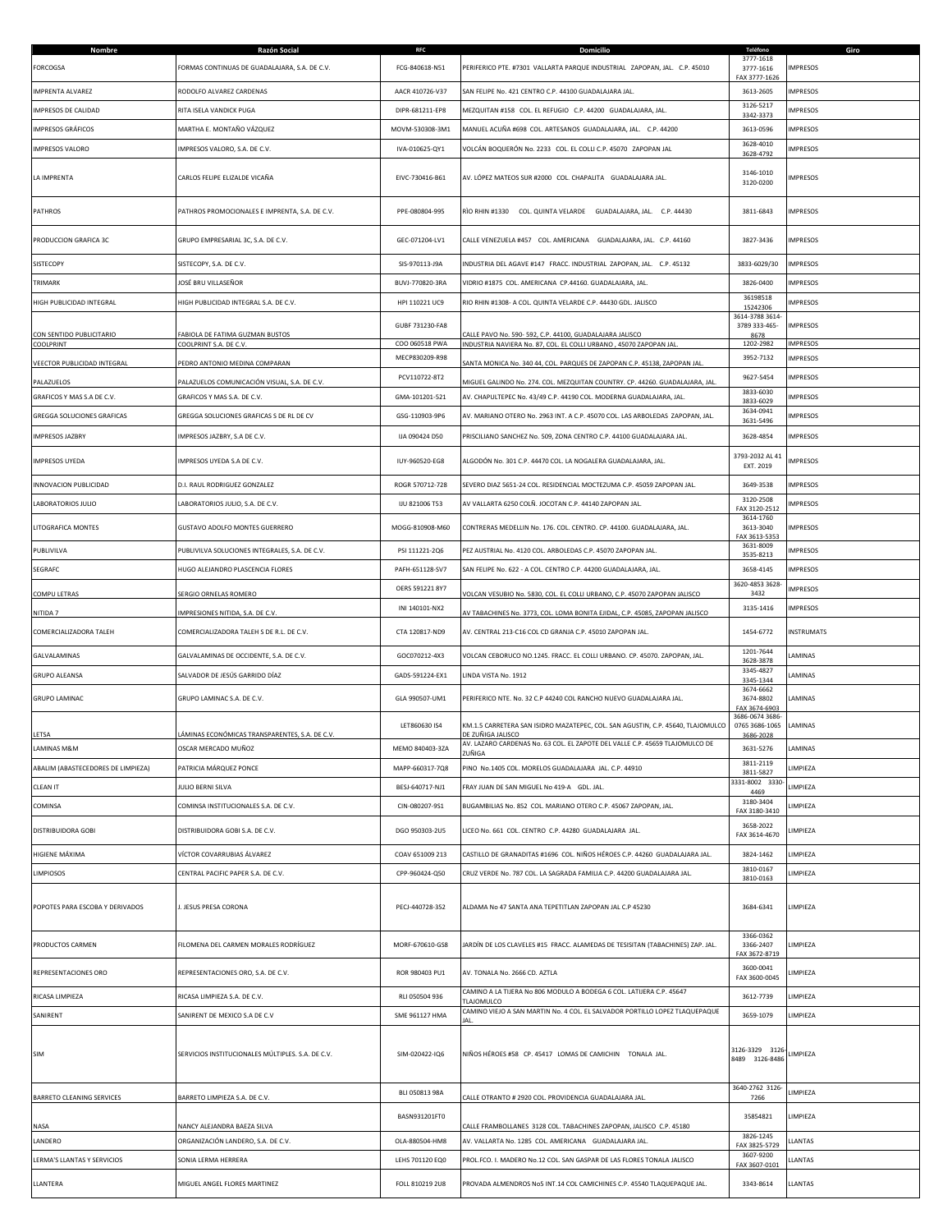| Nombre<br><b>FORCOGSA</b>             | Razón Social<br>FORMAS CONTINUAS DE GUADALAJARA, S.A. DE C.V. | <b>RFC</b><br>FCG-840618-N51 | Domicilio<br>PERIFERICO PTE. #7301 VALLARTA PARQUE INDUSTRIAL ZAPOPAN, JAL. C.P. 45010                                         | Teléfono<br>3777-1618<br>3777-1616<br>FAX 3777-1626 | Giro<br><b>IMPRESOS</b> |
|---------------------------------------|---------------------------------------------------------------|------------------------------|--------------------------------------------------------------------------------------------------------------------------------|-----------------------------------------------------|-------------------------|
| <b>IMPRENTA ALVAREZ</b>               | RODOLFO ALVAREZ CARDENAS                                      | AACR 410726-V37              | SAN FELIPE No. 421 CENTRO C.P. 44100 GUADALAJARA JAL.                                                                          | 3613-2605                                           | <b>IMPRESOS</b>         |
| IMPRESOS DE CALIDAD                   | RITA ISELA VANDICK PUGA                                       | DIPR-681211-EP8              | MEZQUITAN #158 COL. EL REFUGIO C.P. 44200 GUADALAJARA, JAL.                                                                    | 3126-5217<br>3342-3373                              | <b>IMPRESOS</b>         |
| IMPRESOS GRÁFICOS                     | MARTHA E. MONTAÑO VÁZQUEZ                                     | MOVM-530308-3M1              | MANUEL ACUÑA #698 COL. ARTESANOS GUADALAJARA, JAL. C.P. 44200                                                                  | 3613-0596                                           | MPRESOS                 |
| <b>IMPRESOS VALORO</b>                | IMPRESOS VALORO, S.A. DE C.V.                                 | IVA-010625-QY1               | VOLCÁN BOQUERÓN No. 2233 COL. EL COLLI C.P. 45070 ZAPOPAN JAL                                                                  | 3628-4010<br>3628-4792                              | <b>IMPRESOS</b>         |
| LA IMPRENTA                           | CARLOS FELIPE ELIZALDE VICAÑA                                 | EIVC-730416-B61              | AV. LÓPEZ MATEOS SUR #2000 COL. CHAPALITA GUADALAJARA JAL.                                                                     | 3146-1010<br>3120-0200                              | <b>IMPRESOS</b>         |
| <b>PATHROS</b>                        | PATHROS PROMOCIONALES E IMPRENTA, S.A. DE C.V.                | PPE-080804-995               | RÌO RHIN #1330 COL. QUINTA VELARDE GUADALAJARA, JAL. C.P. 44430                                                                | 3811-6843                                           | <b>IMPRESOS</b>         |
| PRODUCCION GRAFICA 3C                 | GRUPO EMPRESARIAL 3C, S.A. DE C.V.                            | GEC-071204-LV1               | CALLE VENEZUELA #457 COL. AMERICANA GUADALAJARA, JAL. C.P. 44160                                                               | 3827-3436                                           | <b>IMPRESOS</b>         |
| SISTECOPY                             | SISTECOPY, S.A. DE C.V.                                       | SIS-970113-J9A               | INDUSTRIA DEL AGAVE #147 FRACC. INDUSTRIAL ZAPOPAN, JAL. C.P. 45132                                                            | 3833-6029/30                                        | <b>IMPRESOS</b>         |
| TRIMARK                               | JOSÉ BRU VILLASEÑOR                                           | BUVJ-770820-3RA              | VIDRIO #1875 COL. AMERICANA CP.44160. GUADALAJARA, JAL.                                                                        | 3826-0400                                           | <b>IMPRESOS</b>         |
| HIGH PUBLICIDAD INTEGRAL              | HIGH PUBLICIDAD INTEGRAL S.A. DE C.V.                         | HPI 110221 UC9               | RIO RHIN #1308- A COL. QUINTA VELARDE C.P. 44430 GDL. JALISCO                                                                  | 36198518<br>15242306                                | <b>IMPRESOS</b>         |
|                                       |                                                               | GUBF 731230-FA8              |                                                                                                                                | 3614-3788 3614<br>3789 333-465-                     | <b>IMPRESOS</b>         |
| CON SENTIDO PUBLICITARIO<br>COOLPRINT | FABIOLA DE FATIMA GUZMAN BUSTOS<br>COOLPRINT S.A. DE C.V.     | COO 060518 PWA               | CALLE PAVO No. 590- 592, C.P. 44100, GUADALAJARA JALISCO<br>INDUSTRIA NAVIERA No. 87, COL. EL COLLI URBANO, 45070 ZAPOPAN JAL. | 8678<br>1202-2982                                   | <b>IMPRESOS</b>         |
| VEECTOR PUBLICIDAD INTEGRAL           | PEDRO ANTONIO MEDINA COMPARAN                                 | MECP830209-R98               | SANTA MONICA No. 340 44, COL. PARQUES DE ZAPOPAN C.P. 45138, ZAPOPAN JAL                                                       | 3952-7132                                           | <b>IMPRESOS</b>         |
| PALAZUELOS                            | ALAZUELOS COMUNICACIÓN VISUAL, S.A. DE C.V.                   | PCV110722-8T2                | MIGUEL GALINDO No. 274. COL. MEZQUITAN COUNTRY. CP. 44260. GUADALAJARA, JAL.                                                   | 9627-5454                                           | <b>IMPRESOS</b>         |
| GRAFICOS Y MAS S.A DE C.V.            | GRAFICOS Y MAS S.A. DE C.V.                                   | GMA-101201-521               | AV. CHAPULTEPEC No. 43/49 C.P. 44190 COL. MODERNA GUADALAJARA, JAL.                                                            | 3833-6030<br>3833-6029                              | <b>IMPRESOS</b>         |
| <b>GREGGA SOLUCIONES GRAFICAS</b>     | GREGGA SOLUCIONES GRAFICAS S DE RL DE CV                      | GSG-110903-9P6               | AV. MARIANO OTERO No. 2963 INT. A C.P. 45070 COL. LAS ARBOLEDAS ZAPOPAN, JAL.                                                  | 3634-0941<br>3631-5496                              | <b>IMPRESOS</b>         |
| <b>IMPRESOS JAZBRY</b>                | IMPRESOS JAZBRY, S.A DE C.V.                                  | IJA 090424 D50               | PRISCILIANO SANCHEZ No. 509, ZONA CENTRO C.P. 44100 GUADALAJARA JAL.                                                           | 3628-4854                                           | <b>IMPRESOS</b>         |
| <b>IMPRESOS UYEDA</b>                 | IMPRESOS UYEDA S.A DE C.V.                                    | IUY-960520-EG8               | ALGODÓN No. 301 C.P. 44470 COL. LA NOGALERA GUADALAJARA, JAL.                                                                  | 3793-2032 AL 41<br>EXT. 2019                        | <b>IMPRESOS</b>         |
| INNOVACION PUBLICIDAD                 | D.I. RAUL RODRIGUEZ GONZALEZ                                  | ROGR 570712-728              | SEVERO DIAZ 5651-24 COL. RESIDENCIAL MOCTEZUMA C.P. 45059 ZAPOPAN JAL.                                                         | 3649-3538                                           | <b>IMPRESOS</b>         |
| LABORATORIOS JULIO                    | LABORATORIOS JULIO, S.A. DE C.V.                              | IJU 821006 T53               | AV VALLARTA 6250 COLÑ. JOCOTAN C.P. 44140 ZAPOPAN JAL.                                                                         | 3120-2508<br>FAX 3120-2512                          | <b>IMPRESOS</b>         |
| LITOGRAFICA MONTES                    | GUSTAVO ADOLFO MONTES GUERRERO                                | MOGG-810908-M60              | CONTRERAS MEDELLIN No. 176. COL. CENTRO. CP. 44100. GUADALAJARA, JAL.                                                          | 3614-1760<br>3613-3040<br>FAX 3613-5353             | <b>IMPRESOS</b>         |
| PUBLIVILVA                            | PUBLIVILVA SOLUCIONES INTEGRALES, S.A. DE C.V.                | PSI 111221-2Q6               | PEZ AUSTRIAL No. 4120 COL. ARBOLEDAS C.P. 45070 ZAPOPAN JAL.                                                                   | 3631-8009<br>3535-8213                              | <b>MPRESOS</b>          |
| SEGRAFC                               | HUGO ALEJANDRO PLASCENCIA FLORES                              | PAFH-651128-SV7              | SAN FELIPE No. 622 - A COL. CENTRO C.P. 44200 GUADALAJARA, JAL.                                                                | 3658-4145                                           | <b>IMPRESOS</b>         |
| <b>COMPU LETRAS</b>                   | ERGIO ORNELAS ROMERO                                          | OERS 591221 8Y7              | VOLCAN VESUBIO No. 5830, COL. EL COLLI URBANO, C.P. 45070 ZAPOPAN JALISCO                                                      | 3620-4853 3628<br>3432                              | <b>IMPRESOS</b>         |
| NITIDA 7                              | MPRESIONES NITIDA, S.A. DE C.V.                               | INI 140101-NX2               | AV TABACHINES No. 3773, COL. LOMA BONITA EJIDAL, C.P. 45085, ZAPOPAN JALISCO                                                   | 3135-1416                                           | <b>IMPRESOS</b>         |
| COMERCIALIZADORA TALEH                | COMERCIALIZADORA TALEH S DE R.L. DE C.V.                      | CTA 120817-ND9               | AV. CENTRAL 213-C16 COL CD GRANJA C.P. 45010 ZAPOPAN JAL.                                                                      | 1454-6772                                           | <b>INSTRUMATS</b>       |
| GALVALAMINAS                          | GALVALAMINAS DE OCCIDENTE, S.A. DE C.V.                       | GOC070212-4X3                | VOLCAN CEBORUCO NO.1245. FRACC. EL COLLI URBANO. CP. 45070. ZAPOPAN, JAL.                                                      | 1201-7644<br>3628-3878                              | LAMINAS                 |
| <b>GRUPO ALEANSA</b>                  | SALVADOR DE JESÚS GARRIDO DÍAZ                                | GADS-591224-EX1              | LINDA VISTA No. 1912                                                                                                           | 3345-4827<br>3345-1344                              | LAMINAS                 |
| <b>GRUPO LAMINAC</b>                  | GRUPO LAMINAC S.A. DE C.V.                                    | GLA 990507-UM1               | PERIFERICO NTE. No. 32 C.P 44240 COL RANCHO NUEVO GUADALAJARA JAL.                                                             | 3674-6662<br>3674-8802<br>FAX 3674-6903             | LAMINAS                 |
| LETSA                                 | LÁMINAS ECONÓMICAS TRANSPARENTES, S.A. DE C.V.                | LET860630 IS4                | KM.1.5 CARRETERA SAN ISIDRO MAZATEPEC, COL. SAN AGUSTIN, C.P. 45640, TLAJOMULCO<br>DE ZUÑIGA JALISCO                           | 3686-0674 3686-<br>0765 3686-1065                   | LAMINAS                 |
| LAMINAS M&M                           | OSCAR MERCADO MUÑOZ                                           | MEMO 840403-3ZA              | AV 1AZARO CARDENAS No. 63 COL. EL ZAPOTE DEL VALLE C.P. 45659 TLAIOMULCO DE<br>ZUÑIGA                                          | 3686-2028<br>3631-5276                              | LAMINAS                 |
| ABALIM (ABASTECEDORES DE LIMPIEZA)    | PATRICIA MÁRQUEZ PONCE                                        | MAPP-660317-7Q8              | PINO No.1405 COL. MORELOS GUADALAJARA JAL. C.P. 44910                                                                          | 3811-2119<br>3811-5827                              | LIMPIEZA                |
| <b>CLEAN IT</b>                       | JULIO BERNI SILVA                                             | BESJ-640717-NJ1              | FRAY JUAN DE SAN MIGUEL No 419-A GDL. JAL.                                                                                     | 3331-8002 3330<br>4469                              | LIMPIEZA                |
| COMINSA                               | COMINSA INSTITUCIONALES S.A. DE C.V.                          | CIN-080207-9S1               | BUGAMBILIAS No. 852 COL. MARIANO OTERO C.P. 45067 ZAPOPAN, JAL.                                                                | 3180-3404<br>FAX 3180-3410                          | LIMPIEZA                |
| <b>DISTRIBUIDORA GOBI</b>             | DISTRIBUIDORA GOBI S.A. DE C.V.                               | DGO 950303-2U5               | LICEO No. 661 COL. CENTRO C.P. 44280 GUADALAJARA JAL.                                                                          | 3658-2022<br>FAX 3614-4670                          | LIMPIEZA                |
| HIGIENE MÁXIMA                        | VÍCTOR COVARRUBIAS ÁLVAREZ                                    | COAV 651009 213              | CASTILLO DE GRANADITAS #1696 COL. NIÑOS HÉROES C.P. 44260 GUADALAJARA JAL.                                                     | 3824-1462                                           | LIMPIEZA                |
| <b>LIMPIOSOS</b>                      | CENTRAL PACIFIC PAPER S.A. DE C.V.                            | CPP-960424-Q50               | CRUZ VERDE No. 787 COL. LA SAGRADA FAMILIA C.P. 44200 GUADALAJARA JAL.                                                         | 3810-0167<br>3810-0163                              | LIMPIEZA                |
| POPOTES PARA ESCOBA Y DERIVADOS       | J. JESUS PRESA CORONA                                         | PECJ-440728-352              | ALDAMA No 47 SANTA ANA TEPETITLAN ZAPOPAN JAL C.P 45230                                                                        | 3684-6341                                           | LIMPIEZA                |
| PRODUCTOS CARMEN                      | FILOMENA DEL CARMEN MORALES RODRÍGUEZ                         | MORF-670610-GS8              | JARDÍN DE LOS CLAVELES #15 FRACC. ALAMEDAS DE TESISITAN (TABACHINES) ZAP. JAL.                                                 | 3366-0362<br>3366-2407<br>FAX 3672-8719             | LIMPIEZA                |
| REPRESENTACIONES ORO                  | REPRESENTACIONES ORO, S.A. DE C.V.                            | ROR 980403 PU1               | AV. TONALA No. 2666 CD. AZTLA                                                                                                  | 3600-0041<br>FAX 3600-0045                          | LIMPIEZA                |
| RICASA LIMPIEZA                       | RICASA LIMPIEZA S.A. DE C.V.                                  | RLI 050504 936               | CAMINO A LA TIJERA No 806 MODULO A BODEGA 6 COL. LATIJERA C.P. 45647<br><b>TLAJOMULCO</b>                                      | 3612-7739                                           | LIMPIEZA                |
| SANIRENT                              | SANIRENT DE MEXICO S.A DE C.V                                 | SME 961127 HMA               | CAMINO VIEJO A SAN MARTIN No. 4 COL. EL SALVADOR PORTILLO LOPEZ TLAQUEPAQUE                                                    | 3659-1079                                           | LIMPIEZA                |
| <b>SIM</b>                            | SERVICIOS INSTITUCIONALES MÚLTIPLES. S.A. DE C.V.             | SIM-020422-IQ6               | NIÑOS HÉROES #58 CP. 45417 LOMAS DE CAMICHIN TONALA JAL.                                                                       | 3126-3329 3126<br>8489 3126-8486                    | LIMPIEZA                |
| <b>BARRETO CLEANING SERVICES</b>      | BARRETO LIMPIEZA S.A. DE C.V.                                 | BLI 050813 98A               | CALLE OTRANTO # 2920 COL. PROVIDENCIA GUADALAJARA JAL.                                                                         | 3640-2762 3126<br>7266                              | LIMPIEZA                |
| NASA                                  | NANCY ALEJANDRA BAEZA SILVA                                   | BASN931201FT0                | CALLE FRAMBOLLANES 3128 COL. TABACHINES ZAPOPAN, JALISCO C.P. 45180                                                            | 35854821                                            | LIMPIEZA                |
| LANDERO                               | ORGANIZACIÓN LANDERO, S.A. DE C.V.                            | OLA-880504-HM8               | AV. VALLARTA No. 1285 COL. AMERICANA GUADALAJARA JAL.                                                                          | 3826-1245<br>FAX 3825-5729                          | LLANTAS                 |
| LERMA'S LLANTAS Y SERVICIOS           | SONIA LERMA HERRERA                                           | LEHS 701120 EQ0              | PROL.FCO. I. MADERO No.12 COL. SAN GASPAR DE LAS FLORES TONALA JALISCO                                                         | 3607-9200<br>FAX 3607-0101                          | LLANTAS                 |
| LLANTERA                              | MIGUEL ANGEL FLORES MARTINEZ                                  | FOLL 810219 2U8              | PROVADA ALMENDROS No5 INT.14 COL CAMICHINES C.P. 45540 TLAQUEPAQUE JAL.                                                        | 3343-8614                                           | LLANTAS                 |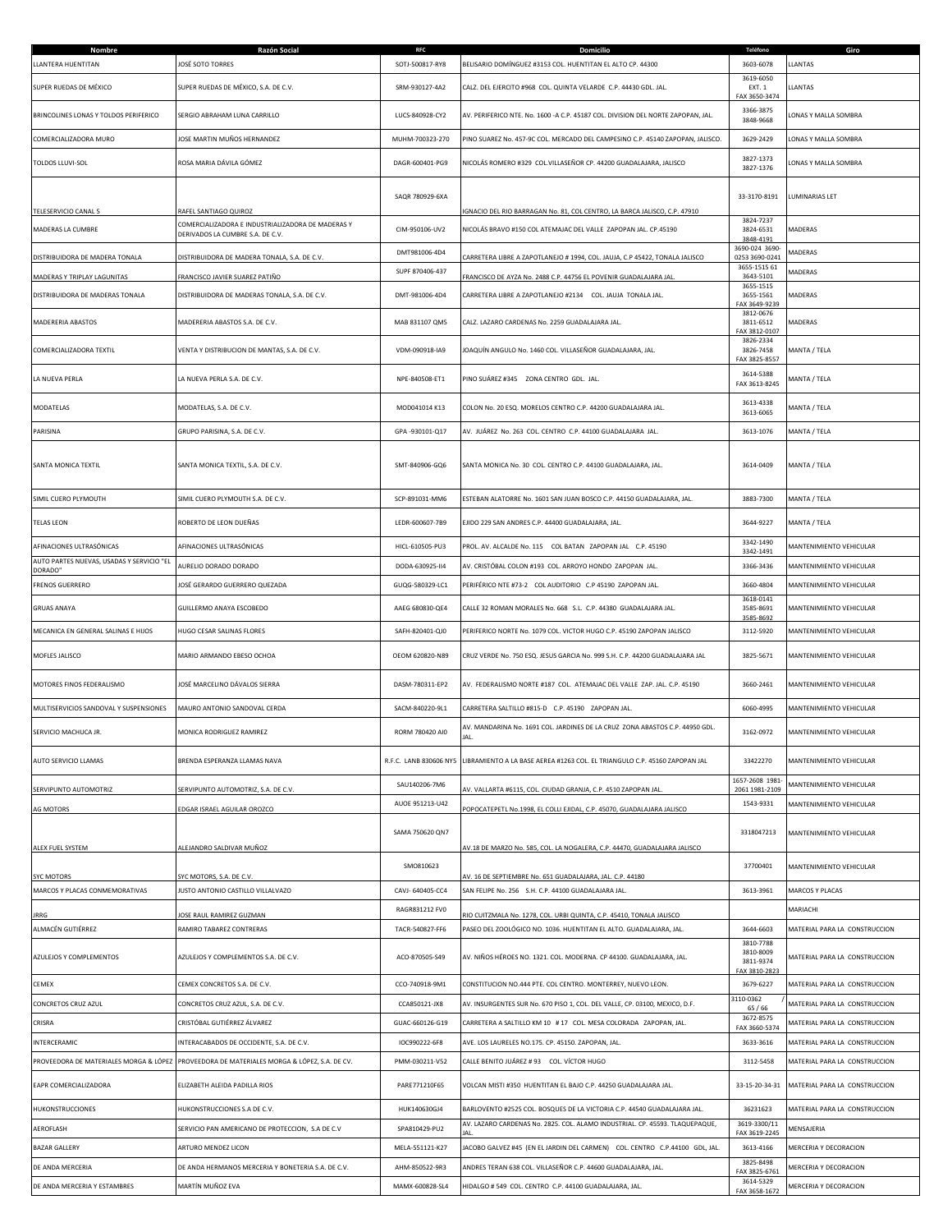| Nombre<br>LLANTERA HUENTITAN                         | Razón Social<br>JOSÉ SOTO TORRES                                                                               | SOTJ-500817-RY8        | BELISARIO DOMÍNGUEZ #3153 COL. HUENTITAN EL ALTO CP. 44300                                                                                   | 3603-6078                                     | LLANTAS                       |
|------------------------------------------------------|----------------------------------------------------------------------------------------------------------------|------------------------|----------------------------------------------------------------------------------------------------------------------------------------------|-----------------------------------------------|-------------------------------|
| SUPER RUEDAS DE MÉXICO                               | SUPER RUEDAS DE MÉXICO, S.A. DE C.V.                                                                           | SRM-930127-4A2         | CALZ. DEL EJERCITO #968 COL. QUINTA VELARDE C.P. 44430 GDL. JAL.                                                                             | 3619-6050<br>EXT. 1                           | LLANTAS                       |
|                                                      |                                                                                                                |                        |                                                                                                                                              | FAX 3650-3474                                 |                               |
| BRINCOLINES LONAS Y TOLDOS PERIFERICO                | SERGIO ABRAHAM LUNA CARRILLO                                                                                   | LUCS-840928-CY2        | AV. PERIFERICO NTE. No. 1600 -A C.P. 45187 COL. DIVISION DEL NORTE ZAPOPAN, JAL.                                                             | 3366-3875<br>3848-9668                        | LONAS Y MALLA SOMBRA          |
| COMERCIALIZADORA MURO                                | JOSE MARTIN MUÑOS HERNANDEZ                                                                                    | MUHM-700323-270        | PINO SUAREZ No. 457-9C COL. MERCADO DEL CAMPESINO C.P. 45140 ZAPOPAN, JALISCO.                                                               | 3629-2429                                     | LONAS Y MALLA SOMBRA          |
| TOLDOS LLUVI-SOL                                     | ROSA MARIA DÁVILA GÓMEZ                                                                                        | DAGR-600401-PG9        | NICOLÁS ROMERO #329 COL.VILLASEÑOR CP. 44200 GUADALAJARA, JALISCO                                                                            | 3827-1373<br>3827-1376                        | LONAS Y MALLA SOMBRA          |
|                                                      |                                                                                                                | SAQR 780929-6XA        |                                                                                                                                              | 33-3170-8191                                  | LUMINARIAS LET                |
| TELESERVICIO CANAL 5<br>MADERAS LA CUMBRE            | RAFEL SANTIAGO QUIROZ<br>COMERCIALIZADORA E INDUSTRIALIZADORA DE MADERAS Y<br>DERIVADOS LA CUMBRE S.A. DE C.V. | CIM-950106-UV2         | IGNACIO DEL RIO BARRAGAN No. 81, COL CENTRO, LA BARCA JALISCO, C.P. 47910<br>NICOLÁS BRAVO #150 COL ATEMAJAC DEL VALLE ZAPOPAN JAL. CP.45190 | 3824-7237<br>3824-6531                        | MADERAS                       |
| DISTRIBUIDORA DE MADERA TONALA                       | DISTRIBUIDORA DE MADERA TONALA, S.A. DE C.V.                                                                   | DMT981006-4D4          | ARRETERA LIBRE A ZAPOTLANEJO # 1994, COL. JAUJA, C.P 45422, TONALA JALISCO                                                                   | 3848-4191<br>3690-024 3690-<br>0253 3690-0241 | MADERAS                       |
| MADERAS Y TRIPLAY LAGUNITAS                          | FRANCISCO JAVIER SUAREZ PATIÑO                                                                                 | SUPF 870406-437        | FRANCISCO DE AYZA No. 2488 C.P. 44756 EL POVENIR GUADALAJARA JAL                                                                             | 3655-1515 61<br>3643-5101                     | MADERAS                       |
| DISTRIBUIDORA DE MADERAS TONALA                      | DISTRIBUIDORA DE MADERAS TONALA, S.A. DE C.V.                                                                  | DMT-981006-4D4         | CARRETERA LIBRE A ZAPOTLANEJO #2134  COL. JAUJA TONALA JAL.                                                                                  | 3655-1515<br>3655-1561                        | MADERAS                       |
| MADERERIA ABASTOS                                    | MADERERIA ABASTOS S.A. DE C.V.                                                                                 | MAB 831107 QM5         | CALZ. LAZARO CARDENAS No. 2259 GUADALAJARA JAL.                                                                                              | FAX 3649-9239<br>3812-0676<br>3811-6512       | MADERAS                       |
| COMERCIALIZADORA TEXTIL                              | VENTA Y DISTRIBUCION DE MANTAS, S.A. DE C.V.                                                                   | VDM-090918-IA9         | JOAQUÍN ANGULO No. 1460 COL. VILLASEÑOR GUADALAJARA, JAL.                                                                                    | FAX 3812-0107<br>3826-2334<br>3826-7458       | MANTA / TELA                  |
| LA NUEVA PERLA                                       | LA NUEVA PERLA S.A. DE C.V.                                                                                    | NPE-840508-ET1         | PINO SUÁREZ #345 ZONA CENTRO GDL. JAL.                                                                                                       | FAX 3825-8557<br>3614-5388                    | MANTA / TELA                  |
|                                                      | MODATELAS, S.A. DE C.V.                                                                                        | MOD041014 K13          | COLON No. 20 ESQ. MORELOS CENTRO C.P. 44200 GUADALAJARA JAL.                                                                                 | FAX 3613-8245<br>3613-4338                    |                               |
| MODATELAS<br>PARISINA                                | GRUPO PARISINA, S.A. DE C.V.                                                                                   | GPA-930101-Q17         | AV. JUÁREZ No. 263 COL. CENTRO C.P. 44100 GUADALAJARA JAL.                                                                                   | 3613-6065<br>3613-1076                        | MANTA / TELA<br>MANTA / TELA  |
|                                                      |                                                                                                                |                        |                                                                                                                                              |                                               |                               |
| SANTA MONICA TEXTIL                                  | SANTA MONICA TEXTIL, S.A. DE C.V.                                                                              | SMT-840906-GQ6         | SANTA MONICA No. 30 COL. CENTRO C.P. 44100 GUADALAJARA, JAL.                                                                                 | 3614-0409                                     | MANTA / TELA                  |
| SIMIL CUERO PLYMOUTH                                 | SIMIL CUERO PLYMOUTH S.A. DE C.V.                                                                              | SCP-891031-MM6         | ESTEBAN ALATORRE No. 1601 SAN JUAN BOSCO C.P. 44150 GUADALAJARA, JAL.                                                                        | 3883-7300                                     | MANTA / TELA                  |
| <b>TELAS LEON</b>                                    | ROBERTO DE LEON DUEÑAS                                                                                         | LEDR-600607-7B9        | EJIDO 229 SAN ANDRES C.P. 44400 GUADALAJARA, JAL.                                                                                            | 3644-9227                                     | MANTA / TELA                  |
| AFINACIONES ULTRASÓNICAS                             | AFINACIONES ULTRASÓNICAS                                                                                       | HICL-610505-PU3        | PROL. AV. ALCALDE No. 115 COL BATAN ZAPOPAN JAL C.P. 45190                                                                                   | 3342-1490<br>3342-1491                        | MANTENIMIENTO VEHICULAR       |
| AUTO PARTES NUEVAS, USADAS Y SERVICIO "EL<br>DORADO" | AURELIO DORADO DORADO                                                                                          | DODA-630925-114        | AV. CRISTÓBAL COLON #193 COL. ARROYO HONDO ZAPOPAN JAL.                                                                                      | 3366-3436                                     | MANTENIMIENTO VEHICULAR       |
| <b>FRENOS GUERRERO</b>                               | JOSÉ GERARDO GUERRERO QUEZADA                                                                                  | GUQG-580329-LC1        | PERIFÉRICO NTE #73-2 COL AUDITORIO C.P 45190 ZAPOPAN JAL.                                                                                    | 3660-4804                                     | MANTENIMIENTO VEHICULAR       |
| <b>GRUAS ANAYA</b>                                   | GUILLERMO ANAYA ESCOBEDO                                                                                       | AAEG 680830-QE4        | CALLE 32 ROMAN MORALES No. 668 S.L. C.P. 44380 GUADALAJARA JAL.                                                                              | 3618-0141<br>3585-8691<br>3585-8692           | MANTENIMIENTO VEHICULAR       |
| MECANICA EN GENERAL SALINAS E HIJOS                  | HUGO CESAR SALINAS FLORES                                                                                      | SAFH-820401-QJ0        | PERIFERICO NORTE No. 1079 COL. VICTOR HUGO C.P. 45190 ZAPOPAN JALISCO                                                                        | 3112-5920                                     | MANTENIMIENTO VEHICULAR       |
|                                                      |                                                                                                                |                        |                                                                                                                                              |                                               |                               |
| MOFLES JALISCO                                       | MARIO ARMANDO EBESO OCHOA                                                                                      | OEOM 620820-N89        | CRUZ VERDE No. 750 ESQ. JESUS GARCIA No. 999 S.H. C.P. 44200 GUADALAJARA JAL                                                                 | 3825-5671                                     | MANTENIMIENTO VEHICULAR       |
| MOTORES FINOS FEDERALISMO                            | JOSÉ MARCELINO DÁVALOS SIERRA                                                                                  | DASM-780311-EP2        | AV. FEDERALISMO NORTE #187 COL. ATEMAJAC DEL VALLE ZAP. JAL. C.P. 45190                                                                      | 3660-2461                                     | MANTENIMIENTO VEHICULAR       |
| MULTISERVICIOS SANDOVAL Y SUSPENSIONES               | MAURO ANTONIO SANDOVAL CERDA                                                                                   | SACM-840220-9L1        | CARRETERA SALTILLO #815-D C.P. 45190 ZAPOPAN JAL.                                                                                            | 6060-4995                                     | MANTENIMIENTO VEHICULAR       |
| SERVICIO MACHUCA JR.                                 | MONICA RODRIGUEZ RAMIREZ                                                                                       | RORM 780420 AI0        | AV. MANDARINA No. 1691 COL. JARDINES DE LA CRUZ ZONA ABASTOS C.P. 44950 GDL.<br>JAL.                                                         | 3162-0972                                     | MANTENIMIENTO VEHICULAR       |
| AUTO SERVICIO LLAMAS                                 | BRENDA ESPERANZA LLAMAS NAVA                                                                                   | R.F.C. LANB 830606 NY5 | LIBRAMIENTO A LA BASE AEREA #1263 COL. EL TRIANGULO C.P. 45160 ZAPOPAN JAL                                                                   | 33422270                                      | MANTENIMIENTO VEHICULAR       |
| SERVIPUNTO AUTOMOTRIZ                                | SERVIPUNTO AUTOMOTRIZ, S.A. DE C.V.                                                                            | SAU140206-7M6          | AV. VALLARTA #6115, COL. CIUDAD GRANJA, C.P. 4510 ZAPOPAN JAL                                                                                | 1657-2608 1981<br>2061 1981-2109              | MANTENIMIENTO VEHICULAR       |
|                                                      |                                                                                                                | AUOE 951213-U42        |                                                                                                                                              | 1543-9331                                     | MANTENIMIENTO VEHICULAR       |
| <b>AG MOTORS</b>                                     | DGAR ISRAEL AGUILAR OROZCO                                                                                     | SAMA 750620 QN7        | POPOCATEPETL No.1998, EL COLLI EJIDAL, C.P. 45070, GUADALAJARA JALISCO                                                                       | 3318047213                                    | MANTENIMIENTO VEHICULAR       |
| ALEX FUEL SYSTEM                                     | ALEJANDRO SALDIVAR MUÑOZ                                                                                       |                        | AV.18 DE MARZO No. 585, COL. LA NOGALERA, C.P. 44470, GUADALAJARA JALISCO                                                                    |                                               |                               |
| <b>SYC MOTORS</b>                                    | SYC MOTORS, S.A. DE C.V.                                                                                       | SMO810623              | V. 16 DE SEPTIEMBRE No. 651 GUADALAJARA, JAL. C.P. 44180                                                                                     | 37700401                                      | MANTENIMIENTO VEHICULAR       |
| MARCOS Y PLACAS CONMEMORATIVAS                       | JUSTO ANTONIO CASTILLO VILLALVAZO                                                                              | CAVJ- 640405-CC4       | SAN FELIPE No. 256 S.H. C.P. 44100 GUADALAJARA JAL.                                                                                          | 3613-3961                                     | MARCOS Y PLACAS               |
| JRRG                                                 | OSE RAUL RAMIREZ GUZMAN                                                                                        | RAGR831212 FV0         | RIO CUITZMALA No. 1278, COL. URBI QUINTA, C.P. 45410, TONALA JALISCO                                                                         |                                               | MARIACHI                      |
| ALMACÉN GUTIÉRREZ                                    | RAMIRO TABAREZ CONTRERAS                                                                                       | TACR-540827-FF6        | PASEO DEL ZOOLÓGICO NO. 1036. HUENTITAN EL ALTO. GUADALAJARA, JAL.                                                                           | 3644-6603<br>3810-7788                        | MATERIAL PARA LA CONSTRUCCION |
| AZULEJOS Y COMPLEMENTOS                              | AZULEJOS Y COMPLEMENTOS S.A. DE C.V.                                                                           | ACO-870505-S49         | AV. NIÑOS HÉROES NO. 1321. COL. MODERNA. CP 44100. GUADALAJARA, JAL.                                                                         | 3810-8009<br>3811-9374<br>FAX 3810-2823       | MATERIAL PARA LA CONSTRUCCION |
| CEMEX                                                | CEMEX CONCRETOS S.A. DE C.V.                                                                                   | CCO-740918-9M1         | CONSTITUCION NO.444 PTE. COL CENTRO. MONTERREY, NUEVO LEON.                                                                                  | 3679-6227                                     | MATERIAL PARA LA CONSTRUCCION |
| CONCRETOS CRUZ AZUL                                  | CONCRETOS CRUZ AZUL, S.A. DE C.V.                                                                              | CCA850121-JX8          | AV. INSURGENTES SUR No. 670 PISO 1, COL. DEL VALLE, CP. 03100, MEXICO, D.F.                                                                  | 3110-0362<br>65 / 66                          | MATERIAL PARA LA CONSTRUCCION |
| CRISRA                                               | CRISTÓBAL GUTIÉRREZ ÁLVAREZ                                                                                    | GUAC-660126-G19        | CARRETERA A SALTILLO KM 10 # 17 COL. MESA COLORADA ZAPOPAN, JAL.                                                                             | 3672-8575<br>FAX 3660-5374                    | MATERIAL PARA LA CONSTRUCCION |
| INTERCERAMIC                                         | INTERACABADOS DE OCCIDENTE, S.A. DE C.V.                                                                       | IOC990222-6F8          | AVE. LOS LAURELES NO.175. CP. 45150. ZAPOPAN, JAL.                                                                                           | 3633-3616                                     | MATERIAL PARA LA CONSTRUCCION |
| PROVEEDORA DE MATERIALES MORGA & LÓPEZ               | PROVEEDORA DE MATERIALES MORGA & LÓPEZ, S.A. DE CV.                                                            | PMM-030211-V52         | CALLE BENITO JUÁREZ # 93 COL. VÍCTOR HUGO                                                                                                    | 3112-5458                                     | MATERIAL PARA LA CONSTRUCCION |
| EAPR COMERCIALIZADORA                                | ELIZABETH ALEIDA PADILLA RIOS                                                                                  | PARE771210F65          | VOLCAN MISTI #350 HUENTITAN EL BAJO C.P. 44250 GUADALAJARA JAL.                                                                              | 33-15-20-34-31                                | MATERIAL PARA LA CONSTRUCCION |
| HUKONSTRUCCIONES                                     | HUKONSTRUCCIONES S.A DE C.V.                                                                                   | HUK140630GJ4           | BARLOVENTO #2525 COL. BOSQUES DE LA VICTORIA C.P. 44540 GUADALAJARA JAL.                                                                     | 36231623                                      | MATERIAL PARA LA CONSTRUCCION |
| AEROFLASH                                            | SERVICIO PAN AMERICANO DE PROTECCION, S.A DE C.V                                                               | SPA810429-PU2          | AV. LAZARO CARDENAS No. 2825. COL. ALAMO INDUSTRIAL. CP. 45593. TLAQUEPAQUE,                                                                 | 3619-3300/11<br>FAX 3619-2245                 | MENSAJERIA                    |
| <b>BAZAR GALLERY</b>                                 | ARTURO MENDEZ LICON                                                                                            | MELA-551121-K27        | JACOBO GALVEZ #45 (EN EL JARDIN DEL CARMEN) COL. CENTRO C.P.44100 GDL, JAL.                                                                  | 3613-4166                                     | MERCERIA Y DECORACION         |
| DE ANDA MERCERIA                                     | DE ANDA HERMANOS MERCERIA Y BONETERIA S.A. DE C.V.                                                             | AHM-850522-9R3         | ANDRES TERAN 638 COL. VILLASEÑOR C.P. 44600 GUADALAJARA, JAL.                                                                                | 3825-8498<br>FAX 3825-6761                    | MERCERIA Y DECORACION         |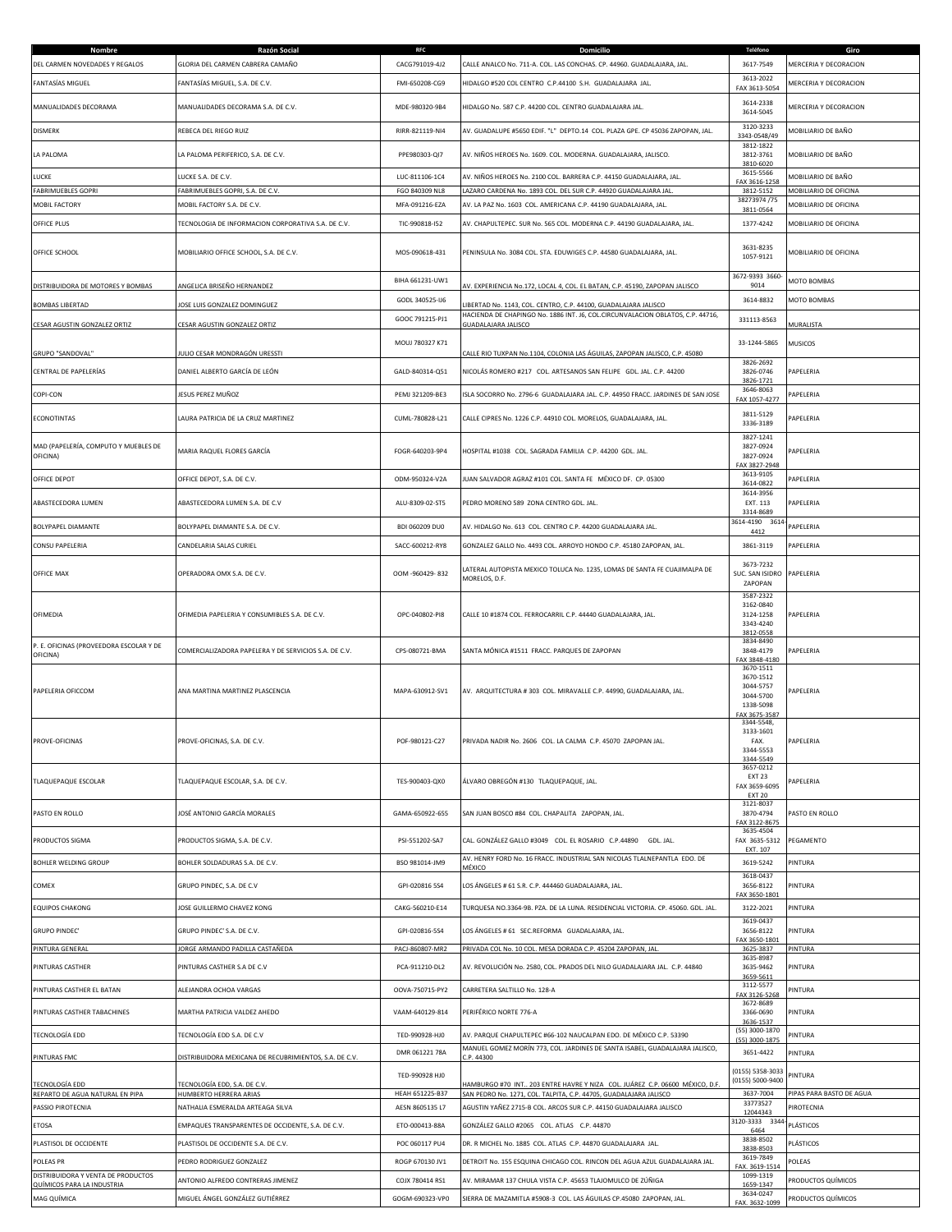| Nombre                                                           | Razón Social                                           | <b>RFC</b>      | Domicilio                                                                                                                                        | Teléfono                                                                      | Giro                     |
|------------------------------------------------------------------|--------------------------------------------------------|-----------------|--------------------------------------------------------------------------------------------------------------------------------------------------|-------------------------------------------------------------------------------|--------------------------|
| DEL CARMEN NOVEDADES Y REGALOS                                   | GLORIA DEL CARMEN CABRERA CAMAÑO                       | CACG791019-4J2  | CALLE ANALCO No. 711-A. COL. LAS CONCHAS. CP. 44960. GUADALAJARA, JAL.                                                                           | 3617-7549<br>3613-2022                                                        | MERCERIA Y DECORACION    |
| FANTASÍAS MIGUEL                                                 | FANTASÍAS MIGUEL, S.A. DE C.V.                         | FMI-650208-CG9  | HIDALGO #520 COL CENTRO C.P.44100 S.H. GUADALAJARA JAL.                                                                                          | FAX 3613-5054                                                                 | MERCERIA Y DECORACION    |
| MANUALIDADES DECORAMA                                            | MANUALIDADES DECORAMA S.A. DE C.V.                     | MDE-980320-9B4  | HIDALGO No. 587 C.P. 44200 COL. CENTRO GUADALAJARA JAL.                                                                                          | 3614-2338<br>3614-5045                                                        | MERCERIA Y DECORACION    |
| <b>DISMERK</b>                                                   | REBECA DEL RIEGO RUIZ                                  | RIRR-821119-NI4 | AV. GUADALUPE #5650 EDIF. "L" DEPTO.14 COL. PLAZA GPE. CP 45036 ZAPOPAN, JAL.                                                                    | 3120-3233<br>3343-0548/49                                                     | MOBILIARIO DE BAÑO       |
| LA PALOMA                                                        | LA PALOMA PERIFERICO, S.A. DE C.V.                     | PPE980303-QI7   | AV. NIÑOS HEROES No. 1609. COL. MODERNA. GUADALAJARA, JALISCO.                                                                                   | 3812-1822<br>3812-3761<br>3810-6020                                           | MOBILIARIO DE BAÑO       |
| LUCKE                                                            | LUCKE S.A. DE C.V.                                     | LUC-811106-1C4  | AV. NIÑOS HEROES No. 2100 COL. BARRERA C.P. 44150 GUADALAJARA, JAL.                                                                              | 3615-5566<br>FAX 3616-1258                                                    | MOBILIARIO DE BAÑO       |
| <b>FABRIMUEBLES GOPRI</b>                                        | FABRIMUEBLES GOPRI, S.A. DE C.V.                       | FGO 840309 NL8  | LAZARO CARDENA No. 1893 COL. DEL SUR C.P. 44920 GUADALAJARA JAL.                                                                                 | 3812-5152<br>38273974/75                                                      | MOBILIARIO DE OFICINA    |
| MOBIL FACTORY                                                    | MOBIL FACTORY S.A. DE C.V.                             | MFA-091216-EZA  | AV. LA PAZ No. 1603 COL. AMERICANA C.P. 44190 GUADALAJARA, JAL.                                                                                  | 3811-0564                                                                     | MOBILIARIO DE OFICINA    |
| OFFICE PLUS                                                      | TECNOLOGIA DE INFORMACION CORPORATIVA S.A. DE C.V.     | TIC-990818-I52  | AV. CHAPULTEPEC. SUR No. 565 COL. MODERNA C.P. 44190 GUADALAJARA, JAL.                                                                           | 1377-4242                                                                     | MOBILIARIO DE OFICINA    |
| OFFICE SCHOOL                                                    | MOBILIARIO OFFICE SCHOOL, S.A. DE C.V.                 | MOS-090618-431  | PENINSULA No. 3084 COL. STA. EDUWIGES C.P. 44580 GUADALAJARA, JAL.                                                                               | 3631-8235<br>1057-9121                                                        | MOBILIARIO DE OFICINA    |
| DISTRIBUIDORA DE MOTORES Y BOMBAS                                | ANGELICA BRISEÑO HERNANDEZ                             | BIHA 661231-UW1 | AV. EXPERIENCIA No.172, LOCAL 4, COL. EL BATAN, C.P. 45190, ZAPOPAN JALISCO                                                                      | 3672-9393 3660<br>9014                                                        | MOTO BOMBAS              |
| <b>BOMBAS LIBERTAD</b>                                           | OSE LUIS GONZALEZ DOMINGUEZ                            | GODL 340525-IJ6 | IBERTAD No. 1143, COL. CENTRO, C.P. 44100, GUADALAJARA JALISCO                                                                                   | 3614-8832                                                                     | MOTO BOMBAS              |
|                                                                  |                                                        | GOOC 791215-PJ1 | HACIENDA DE CHAPINGO No. 1886 INT. J6, COL.CIRCUNVALACION OBLATOS, C.P. 44716,                                                                   | 331113-8563                                                                   |                          |
| CESAR AGUSTIN GONZALEZ ORTIZ                                     | CESAR AGUSTIN GONZALEZ ORTIZ                           |                 | GUADALAJARA JALISCO                                                                                                                              |                                                                               | MURALISTA                |
| GRUPO "SANDOVAL"                                                 | ULIO CESAR MONDRAGÓN URESSTI                           | MOUJ 780327 K71 | CALLE RIO TUXPAN No.1104, COLONIA LAS ÁGUILAS, ZAPOPAN JALISCO, C.P. 45080                                                                       | 33-1244-5865                                                                  | MUSICOS                  |
| CENTRAL DE PAPELERÍAS                                            | DANIEL ALBERTO GARCÍA DE LEÓN                          | GALD-840314-Q51 | NICOLÁS ROMERO #217 COL. ARTESANOS SAN FELIPE GDL. JAL. C.P. 44200                                                                               | 3826-2692<br>3826-0746<br>3826-1721                                           | PAPELERIA                |
| COPI-CON                                                         | JESUS PEREZ MUÑOZ                                      | PEMJ 321209-BE3 | ISLA SOCORRO No. 2796-6 GUADALAJARA JAL. C.P. 44950 FRACC. JARDINES DE SAN JOSE                                                                  | 3646-8063<br>FAX 1057-4277                                                    | PAPELERIA                |
| <b>ECONOTINTAS</b>                                               | LAURA PATRICIA DE LA CRUZ MARTINEZ                     | CUML-780828-L21 | CALLE CIPRES No. 1226 C.P. 44910 COL. MORELOS, GUADALAJARA, JAL.                                                                                 | 3811-5129<br>3336-3189                                                        | PAPELERIA                |
| MAD (PAPELERÍA, COMPUTO Y MUEBLES DE<br>OFICINA)                 | MARIA RAQUEL FLORES GARCÍA                             | FOGR-640203-9P4 | HOSPITAL #1038 COL. SAGRADA FAMILIA C.P. 44200 GDL. IAL.                                                                                         | 3827-1241<br>3827-0924<br>3827-0924                                           | PAPELERIA                |
| OFFICE DEPOT                                                     | OFFICE DEPOT, S.A. DE C.V.                             | ODM-950324-V2A  | IUAN SALVADOR AGRAZ #101 COL. SANTA FE MÉXICO DF. CP. 05300                                                                                      | AX 3827-2948<br>3613-9105                                                     | PAPELERIA                |
| ABASTECEDORA LUMEN                                               | ABASTECEDORA LUMEN S.A. DE C.V                         | ALU-8309-02-ST5 | PEDRO MORENO 589 ZONA CENTRO GDL. JAL.                                                                                                           | 3614-0822<br>3614-3956<br>EXT. 113                                            | PAPELERIA                |
| <b>BOLYPAPEL DIAMANTE</b>                                        | BOLYPAPEL DIAMANTE S.A. DE C.V.                        | BDI 060209 DU0  | AV. HIDALGO No. 613 COL. CENTRO C.P. 44200 GUADALAJARA JAL.                                                                                      | 3314-8689<br>3614-4190<br>3614                                                | PAPELERIA                |
| CONSU PAPELERIA                                                  | CANDELARIA SALAS CURIEL                                | SACC-600212-RY8 | GONZALEZ GALLO No. 4493 COL. ARROYO HONDO C.P. 45180 ZAPOPAN, JAL.                                                                               | 4412<br>3861-3119                                                             | PAPELERIA                |
|                                                                  |                                                        |                 |                                                                                                                                                  |                                                                               |                          |
| OFFICE MAX                                                       | OPERADORA OMX S.A. DE C.V.                             | OOM -960429-832 | LATERAL AUTOPISTA MEXICO TOLUCA No. 1235, LOMAS DE SANTA FE CUAJIMALPA DE<br>MORELOS, D.F.                                                       | 3673-7232<br>SUC. SAN ISIDRO<br>ZAPOPAN                                       | PAPELERIA                |
| OFIMEDIA                                                         | OFIMEDIA PAPELERIA Y CONSUMIBLES S.A. DE C.V.          | OPC-040802-PI8  | CALLE 10 #1874 COL. FERROCARRIL C.P. 44440 GUADALAJARA, JAL.                                                                                     | 3587-2322<br>3162-0840<br>3124-1258<br>3343-4240<br>3812-0558                 | PAPELERIA                |
| P. E. OFICINAS (PROVEEDORA ESCOLAR Y DE<br>OFICINA)              | COMERCIALIZADORA PAPELERA Y DE SERVICIOS S.A. DE C.V.  | CPS-080721-BMA  | SANTA MÓNICA #1511 FRACC. PARQUES DE ZAPOPAN                                                                                                     | 3834-8490<br>3848-4179<br>FAX 3848-4180                                       | PAPELERIA                |
| PAPELERIA OFICCOM                                                | ANA MARTINA MARTINEZ PLASCENCIA                        | MAPA-630912-SV1 | AV. ARQUITECTURA # 303 COL. MIRAVALLE C.P. 44990, GUADALAJARA, JAL.                                                                              | 3670-1511<br>3670-1512<br>3044-5757<br>3044-5700<br>1338-5098<br>AX 3675-3587 | PAPELERIA                |
| PROVE-OFICINAS                                                   | PROVE-OFICINAS, S.A. DE C.V.                           | POF-980121-C27  | PRIVADA NADIR No. 2606 COL. LA CALMA C.P. 45070 ZAPOPAN JAL.                                                                                     | 3344-5548,<br>3133-1601<br>FAX.<br>3344-5553<br>3344-5549                     | PAPELERIA                |
| <b>TLAQUEPAQUE ESCOLAR</b>                                       | TLAQUEPAQUE ESCOLAR, S.A. DE C.V.                      | TES-900403-QX0  | ÁLVARO OBREGÓN #130 TLAQUEPAQUE, JAL.                                                                                                            | 3657-0212<br><b>EXT 23</b><br>FAX 3659-6095<br><b>EXT 20</b>                  | APELERIA                 |
| PASTO EN ROLLO                                                   | JOSÉ ANTONIO GARCÍA MORALES                            | GAMA-650922-655 | SAN JUAN BOSCO #84 COL. CHAPALITA ZAPOPAN, JAL.                                                                                                  | 3121-8037<br>3870-4794<br>FAX 3122-8675                                       | PASTO EN ROLLO           |
| PRODUCTOS SIGMA                                                  | PRODUCTOS SIGMA, S.A. DE C.V.                          | PSI-551202-SA7  | CAL. GONZÁLEZ GALLO #3049 COL. EL ROSARIO C.P.44890 GDL. JAL.                                                                                    | 3635-4504<br>FAX 3635-5312<br>EXT. 107                                        | PEGAMENTO                |
| <b>BOHLER WELDING GROUP</b>                                      | BOHLER SOLDADURAS S.A. DE C.V.                         | BSO 981014-JM9  | AV. HENRY FORD No. 16 FRACC. INDUSTRIAL SAN NICOLAS TLALNEPANTLA EDO. DE<br>MÉXICO                                                               | 3619-5242                                                                     | PINTURA                  |
| COMEX                                                            | GRUPO PINDEC, S.A. DE C.V                              | GPI-020816 5S4  | LOS ÁNGELES # 61 S.R. C.P. 444460 GUADALAJARA, JAL.                                                                                              | 3618-0437<br>3656-8122<br>FAX 3650-1801                                       | PINTURA                  |
| <b>EQUIPOS CHAKONG</b>                                           | JOSE GUILLERMO CHAVEZ KONG                             | CAKG-560210-E14 | TURQUESA NO.3364-9B. PZA. DE LA LUNA. RESIDENCIAL VICTORIA. CP. 45060. GDL. JAL.                                                                 | 3122-2021                                                                     | PINTURA                  |
| <b>GRUPO PINDEC'</b>                                             | GRUPO PINDEC' S.A. DE C.V.                             | GPI-020816-5S4  | LOS ÁNGELES # 61 SEC.REFORMA GUADALAJARA, JAL.                                                                                                   | 3619-0437<br>3656-8122<br>FAX 3650-1801                                       | PINTURA                  |
| <b>PINTURA GENERAL</b>                                           | JORGE ARMANDO PADILLA CASTAÑEDA                        | PACJ-860807-MR2 | PRIVADA COL No. 10 COL. MESA DORADA C.P. 45204 ZAPOPAN, JAL                                                                                      | 3625-3837                                                                     | PINTURA                  |
| PINTURAS CASTHER                                                 | PINTURAS CASTHER S.A DE C.V                            | PCA-911210-DL2  | AV. REVOLUCIÓN No. 2580, COL. PRADOS DEL NILO GUADALAJARA JAL. C.P. 44840                                                                        | 3635-8987<br>3635-9462<br>3659-5611                                           | PINTURA                  |
| PINTURAS CASTHER EL BATAN                                        | ALEJANDRA OCHOA VARGAS                                 | OOVA-750715-PY2 | CARRETERA SALTILLO No. 128-A                                                                                                                     | 3112-5577<br>FAX 3126-5268                                                    | PINTURA                  |
| PINTURAS CASTHER TABACHINES                                      | MARTHA PATRICIA VALDEZ AHEDO                           | VAAM-640129-814 | PERIFÉRICO NORTE 776-A                                                                                                                           | 3672-8689<br>3366-0690                                                        | PINTURA                  |
| <b>TECNOLOGÍA EDD</b>                                            | TECNOLOGÍA EDD S.A. DE C.V                             | TED-990928-HJ0  | AV. PARQUE CHAPULTEPEC #66-102 NAUCALPAN EDO. DE MÉXICO C.P. 53390                                                                               | 3636-1537<br>(55) 3000-1870<br>(55) 3000-1875                                 | PINTURA                  |
| <b>PINTURAS FMC</b>                                              | DISTRIBUIDORA MEXICANA DE RECUBRIMIENTOS, S.A. DE C.V. | DMR 061221 78A  | MANUEL GOMEZ MORÍN 773, COL. JARDINES DE SANTA ISABEL, GUADALAJARA JALISCO,<br>2.9.44300                                                         | 3651-4422                                                                     | PINTURA                  |
|                                                                  |                                                        | TED-990928 HJ0  |                                                                                                                                                  | (0155) 5358-3033<br>(0155) 5000-9400                                          | PINTURA                  |
| <b>TECNOLOGÍA EDD</b><br>REPARTO DE AGUA NATURAL EN PIPA         | FECNOLOGÍA EDD, S.A. DE C.V.<br>HUMBERTO HERRERA ARIAS | HEAH 651225-B37 | HAMBURGO #70 INT 203 ENTRE HAVRE Y NIZA COL. JUÁREZ C.P. 06600 MÉXICO, D.F.<br>SAN PEDRO No. 1271, COL. TALPITA, C.P. 44705, GUADALAJARA JALISCO | 3637-7004                                                                     | PIPAS PARA BASTO DE AGUA |
| PASSIO PIROTECNIA                                                | NATHALIA ESMERALDA ARTEAGA SILVA                       | AESN 8605135 L7 | AGUSTIN YAÑEZ 2715-B COL. ARCOS SUR C.P. 44150 GUADALAJARA JALISCO                                                                               | 33773527<br>12044343                                                          | PIROTECNIA               |
| ETOSA                                                            | EMPAQUES TRANSPARENTES DE OCCIDENTE, S.A. DE C.V.      | ETO-000413-88A  | GONZÁLEZ GALLO #2065 COL. ATLAS C.P. 44870                                                                                                       | 3120-3333 3344<br>6464                                                        | PLÁSTICOS                |
| PLASTISOL DE OCCIDENTE                                           | PLASTISOL DE OCCIDENTE S.A. DE C.V.                    | POC 060117 PU4  | DR. R MICHEL No. 1885 COL. ATLAS C.P. 44870 GUADALAJARA JAL.                                                                                     | 3838-8502<br>3838-8503                                                        | PLÁSTICOS                |
| <b>POLEAS PR</b>                                                 | PEDRO RODRIGUEZ GONZALEZ                               | ROGP 670130 JV1 | DETROIT No. 155 ESQUINA CHICAGO COL. RINCON DEL AGUA AZUL GUADALAJARA JAL.                                                                       | 3619-7849<br>FAX. 3619-1514                                                   | POLEAS                   |
| DISTRIBUIDORA Y VENTA DE PRODUCTOS<br>QUÍMICOS PARA LA INDUSTRIA | ANTONIO ALFREDO CONTRERAS JIMENEZ                      | COJX 780414 RS1 | AV. MIRAMAR 137 CHULA VISTA C.P. 45653 TLAJOMULCO DE ZÚÑIGA                                                                                      | 1099-1319<br>1659-1347                                                        | PRODUCTOS QUÍMICOS       |
| MAG QUÍMICA                                                      | MIGUEL ÁNGEL GONZÁLEZ GUTIÉRREZ                        | GOGM-690323-VP0 | SIERRA DE MAZAMITLA #5908-3 COL. LAS ÁGUILAS CP.45080 ZAPOPAN, JAL.                                                                              | 3634-0247<br>FAX. 3632-1099                                                   | PRODUCTOS QUÍMICOS       |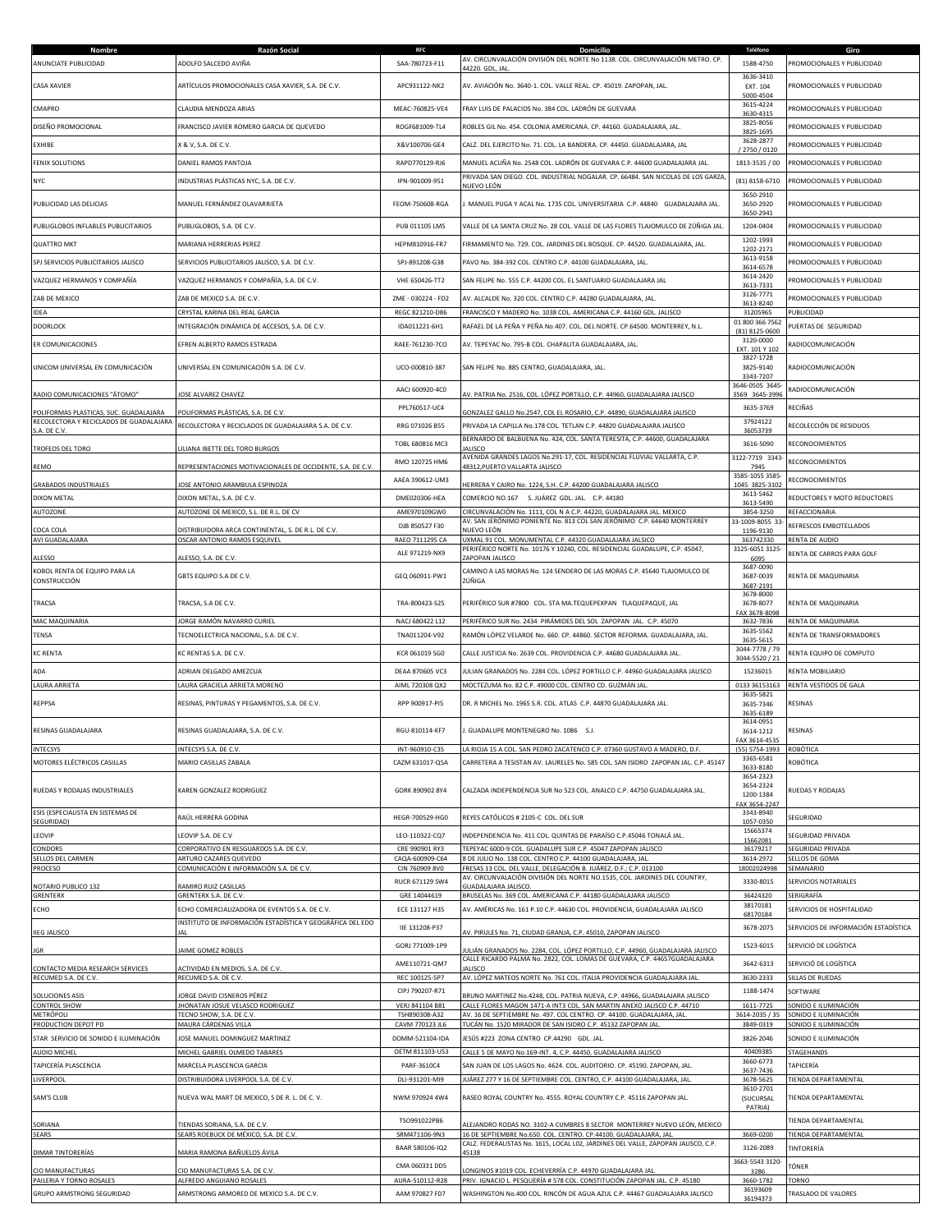| Nombre<br>ANUNCIATE PUBLICIDAD                                     | Razón Social<br>ADOLFO SALCEDO AVIÑA                                               | <b>RFC</b><br>SAA-780723-F11       | Domicilio<br>AV. CIRCUNVALACIÓN DIVISIÓN DEL NORTE No 1138. COL. CIRCUNVALACIÓN METRO. CP.                                                                  | Teléfono<br>1588-4750                   | Giro<br>PROMOCIONALES Y PUBLICIDAD           |
|--------------------------------------------------------------------|------------------------------------------------------------------------------------|------------------------------------|-------------------------------------------------------------------------------------------------------------------------------------------------------------|-----------------------------------------|----------------------------------------------|
| <b>CASA XAVIER</b>                                                 | ARTÍCULOS PROMOCIONALES CASA XAVIER, S.A. DE C.V.                                  | APC931122-NK2                      | 44220. GDL, JAL<br>AV. AVIACIÓN No. 3640-1. COL. VALLE REAL. CP. 45019. ZAPOPAN, JAL.                                                                       | 3636-3410<br>EXT. 104                   | PROMOCIONALES Y PUBLICIDAD                   |
| CMAPRO                                                             | CLAUDIA MENDOZA ARIAS                                                              | MEAC-760825-VE4                    | FRAY LUIS DE PALACIOS No. 384 COL. LADRÓN DE GUEVARA                                                                                                        | 5000-4504<br>3615-4224                  | PROMOCIONALES Y PUBLICIDAD                   |
| DISEÑO PROMOCIONAL                                                 | FRANCISCO JAVIER ROMERO GARCIA DE QUEVEDO                                          | ROGF681009-TL4                     | ROBLES GIL No. 454. COLONIA AMERICANA. CP. 44160. GUADALAJARA, JAL.                                                                                         | 3630-4315<br>3825-8056                  | PROMOCIONALES Y PUBLICIDAD                   |
| EXHIBE                                                             | X & V, S.A. DE C.V.                                                                | X&V100706-GE4                      | CALZ. DEL EJERCITO No. 71. COL. LA BANDERA. CP. 44450. GUADALAJARA, JAL                                                                                     | 3825-1695<br>3628-2877                  | PROMOCIONALES Y PUBLICIDAD                   |
| <b>FENIX SOLUTIONS</b>                                             | DANIEL RAMOS PANTOJA                                                               | RAPD770129-RJ6                     | MANUEL ACUÑA No. 2548 COL. LADRÓN DE GUEVARA C.P. 44600 GUADALAJARA JAL.                                                                                    | / 2750 / 0120<br>1813-3535 / 00         | PROMOCIONALES Y PUBLICIDAD                   |
| <b>NYC</b>                                                         | INDUSTRIAS PLÁSTICAS NYC, S.A. DE C.V.                                             | IPN-901009-951                     | PRIVADA SAN DIEGO. COL. INDUSTRIAL NOGALAR. CP. 66484. SAN NICOLAS DE LOS GARZA                                                                             | (81) 8158-6710                          | PROMOCIONALES Y PUBLICIDAD                   |
| PUBLICIDAD LAS DELICIAS                                            | MANUEL FERNÁNDEZ OLAVARRIETA                                                       | FEOM-750608-RGA                    | NUEVO LEÓN<br>I. MANUEL PUGA Y ACAL No. 1735 COL. UNIVERSITARIA C.P. 44840 GUADALAJARA JAL.                                                                 | 3650-2910<br>3650-2920                  | PROMOCIONALES Y PUBLICIDAD                   |
| PUBLIGLOBOS INFLABLES PUBLICITARIOS                                | PUBLIGLOBOS, S.A. DE C.V.                                                          | PUB 011105 LM5                     | VALLE DE LA SANTA CRUZ No. 28 COL. VALLE DE LAS FLORES TLAJOMULCO DE ZÚÑIGA JAL                                                                             | 3650-2941<br>1204-0404                  | PROMOCIONALES Y PUBLICIDAD                   |
| <b>OUATTRO MKT</b>                                                 | MARIANA HERRERIAS PEREZ                                                            | HEPM810916-FR7                     | FIRMAMENTO No. 729. COL. JARDINES DEL BOSQUE. CP. 44520. GUADALAJARA, JAL.                                                                                  | 1202-1993<br>1202-2171                  | PROMOCIONALES Y PUBLICIDAD                   |
| SPJ SERVICIOS PUBLICITARIOS JALISCO                                | SERVICIOS PUBLICITARIOS JALISCO, S.A. DE C.V.                                      | SPJ-891208-G38                     | PAVO No. 384-392 COL. CENTRO C.P. 44100 GUADALAJARA, JAL.                                                                                                   | 3613-9158<br>3614-6578                  | PROMOCIONALES Y PUBLICIDAD                   |
| VAZQUEZ HERMANOS Y COMPAÑÍA                                        | VAZQUEZ HERMANOS Y COMPAÑÍA, S.A. DE C.V.                                          | VHE 650426-TT2                     | SAN FELIPE No. 555 C.P. 44200 COL. EL SANTUARIO GUADALAJARA JAL                                                                                             | 3614-2420<br>3613-7331                  | PROMOCIONALES Y PUBLICIDAD                   |
| ZAB DE MEXICO                                                      | ZAB DE MEXICO S.A. DE C.V.                                                         | ZME - 030224 - FD2                 | AV. ALCALDE No. 320 COL. CENTRO C.P. 44280 GUADALAJARA, JAL.                                                                                                | 3126-7771<br>3613-8240                  | PROMOCIONALES Y PUBLICIDAD                   |
| <b>IDEA</b>                                                        | CRYSTAL KARINA DEL REAL GARCIA                                                     | REGC 821210-D86                    | FRANCISCO Y MADERO No. 1038 COL. AMERICANA C.P. 44160 GDL. JALISCO                                                                                          | 31205965<br>01 800 366 7562             | PUBLICIDAD                                   |
| <b>DOORLOCK</b>                                                    | INTEGRACIÓN DINÁMICA DE ACCESOS, S.A. DE C.V.                                      | IDA011221-6H1                      | RAFAEL DE LA PEÑA Y PEÑA No.407. COL. DEL NORTE. CP.64500. MONTERREY, N.L.                                                                                  | (81) 8125-0600<br>3120-0000             | PUERTAS DE SEGURIDAD                         |
| ER COMUNICACIONES                                                  | EFREN ALBERTO RAMOS ESTRADA                                                        | RAEE-761230-7CO                    | AV. TEPEYAC No. 795-B COL. CHAPALITA GUADALAJARA, JAL.                                                                                                      | EXT. 101 Y 102<br>3827-1728             | RADIOCOMUNICACIÓN                            |
| UNICOM UNIVERSAL EN COMUNICACIÓN                                   | UNIVERSAL EN COMUNICACIÓN S.A. DE C.V.                                             | UCO-000810-387                     | SAN FELIPE No. 885 CENTRO, GUADALAJARA, JAL.                                                                                                                | 3825-9140<br>3343-7207                  | RADIOCOMUNICACIÓN                            |
| RADIO COMUNICACIONES "ÁTOMO"                                       | OSE ALVAREZ CHAVEZ                                                                 | AACJ 600920-4C0                    | AV. PATRIA No. 2516, COL. LÓPEZ PORTILLO, C.P. 44960, GUADALAJARA JALISCO                                                                                   | 3646-0505 3645<br>3569 3645-399         | RADIOCOMUNICACIÓN                            |
| POLIFORMAS PLASTICAS, SUC, GUADALAJARA                             | POLIFORMAS PLÁSTICAS, S.A. DE C.V.                                                 | PPL760517-UC4                      | GONZALEZ GALLO No.2547, COL EL ROSARIO, C.P. 44890, GUADALAJARA JALISCO                                                                                     | 3635-3769                               | RECIÑAS                                      |
| RECOLECTORA Y RECICLADOS DE GUADALAJARA<br>S.A. DE C.V             | RECOLECTORA Y RECICLADOS DE GUADALAJARA S.A. DE C.V.                               | RRG 071026 B55                     | PRIVADA LA CAPILLA No.178 COL. TETLAN C.P. 44820 GUADALAJARA JALISCO                                                                                        | 37924122<br>36053739                    | RECOLECCIÓN DE RESIDUOS                      |
| TROFEOS DEL TORO                                                   | ILIANA IBETTE DEL TORO BURGOS                                                      | TOBL 680816 MC3                    | BERNARDO DE BALBUENA No. 424, COL. SANTA TERESITA, C.P. 44600, GUADALAJARA<br>ALISCO                                                                        | 3616-5090                               | RECONOCIMIENTOS                              |
| REMO                                                               | REPRESENTACIONES MOTIVACIONALES DE OCCIDENTE, S.A. DE C.V                          | RMO 120725 HM6                     | AVENIDA GRANDES LAGOS No.291-17, COL. RESIDENCIAL FLUVIAL VALLARTA, C.P.<br>48312, PUERTO VALLARTA JALISCO                                                  | 3122-7719 3343<br>7945                  | RECONOCIMIENTOS                              |
| <b>GRABADOS INDUSTRIALES</b>                                       | OSE ANTONIO ARAMBULA ESPINOZA                                                      | AAEA 390612-UM3                    | IERRERA Y CAIRO No. 1224, S.H. C.P. 44200 GUADALAJARA JALISCO                                                                                               | 3585-1055 3585<br>1045 3825-3102        | RECONOCIMIENTOS                              |
| <b>DIXON METAL</b>                                                 | DIXON METAL, S.A. DE C.V.                                                          | DME020306-HEA                      | COMERCIO NO.167 S. JUÁREZ GDL. JAL. C.P. 44180                                                                                                              | 3613-5462<br>3613-5490                  | REDUCTORES Y MOTO REDUCTORES                 |
| AUTOZONE                                                           | AUTOZONE DE MEXICO, S.L. DE R.L. DE CV                                             | AME970109GW0<br>DJB 850527 F30     | CIRCUNVALACIÓN No. 1111, COL N A C.P. 44220, GUADALAJARA JAL. MEXICO<br>AV. SAN JERÓNIMO PONIENTE No. 813 COL SAN JERÓNIMO  C.P. 64640 MONTERREY            | 3854-3250<br>33-1009-8055 33            | REFACCIONARIA<br>REFRESCOS EMBOTELLADOS      |
| COCA COLA<br>AVI GUADALAJARA                                       | DISTRIBUIDORA ARCA CONTINENTAL, S. DE R.L. DE C.V.<br>OSCAR ANTONIO RAMOS ESQUIVEL | RAEO 7111295 CA                    | NUEVO LEÓN<br>UXMAL 91 COL. MONUMENTAL C.P. 44320 GUADALAJARA JALSICO                                                                                       | 1196-9130<br>363742330                  | RENTA DE AUDIO                               |
| ALESSO                                                             | ALESSO, S.A. DE C.V.                                                               | ALE 971219-NX9                     | PERIFÉRICO NORTE No. 10176 Y 10240, COL. RESIDENCIAL GUADALUPE, C.P. 45047,<br>ZAPOPAN JALISCO                                                              | 3125-6051 3125-<br>6095                 | RENTA DE CARROS PARA GOLF                    |
| KOBOL RENTA DE EQUIPO PARA LA<br>CONSTRUCCIÓN                      | GBTS EQUIPO S.A DE C.V.                                                            | GEQ 060911-PW1                     | CAMINO A LAS MORAS No. 124 SENDERO DE LAS MORAS C.P. 45640 TLAJOMULCO DE<br>ZÚÑIGA                                                                          | 3687-0090<br>3687-0039<br>3687-2191     | RENTA DE MAQUINARIA                          |
| TRACSA                                                             | TRACSA, S.A DE C.V.                                                                | TRA-800423-S25                     | PERIFÉRICO SUR #7800 COL. STA MA.TEQUEPEXPAN TLAQUEPAQUE, JAL                                                                                               | 3678-8000<br>3678-8077<br>FAX 3678-8098 | RENTA DE MAQUINARIA                          |
| MAC MAQUINARIA                                                     | JORGE RAMÓN NAVARRO CURIEL                                                         | NACJ 680422 L12                    | PERIFÉRICO SUR No. 2434 PIRÁMIDES DEL SOL ZAPOPAN JAL. C.P. 45070                                                                                           | 3632-7836<br>3635-5562                  | RENTA DE MAQUINARIA                          |
| TENSA                                                              | TECNOELECTRICA NACIONAL, S.A. DE C.V.                                              | TNA011204-V92                      | RAMÓN LÓPEZ VELARDE No. 660. CP. 44860. SECTOR REFORMA. GUADALAJARA, JAL.                                                                                   | 3635-5615<br>3044-7778 / 79             | RENTA DE TRANSFORMADORES                     |
| <b>KC RENTA</b>                                                    | KC RENTAS S.A. DE C.V.                                                             | KCR 061019 5G0                     | CALLE JUSTICIA No. 2639 COL. PROVIDENCIA C.P. 44680 GUADALAJARA JAL.                                                                                        | 3044-5520 / 21                          | RENTA EQUIPO DE COMPUTO                      |
| ADA<br><b>LAURA ARRIETA</b>                                        | ADRIAN DELGADO AMEZCUA<br>LAURA GRACIELA ARRIETA MORENO                            | DEAA 870605 VC3<br>AIML 720308 QX2 | JULIAN GRANADOS No. 2284 COL. LÓPEZ PORTILLO C.P. 44960 GUADALAJARA JALISCO<br>MOCTEZUMA No. 82 C.P. 49000 COL. CENTRO CD. GUZMÁN JAL.                      | 15236015<br>0133 36153163               | RENTA MOBILIARIO<br>RENTA VESTIDOS DE GALA   |
| REPPSA                                                             | RESINAS, PINTURAS Y PEGAMENTOS, S.A. DE C.V.                                       | RPP 900917-PI5                     | DR. R MICHEL No. 1965 S.R. COL. ATLAS C.P. 44870 GUADALAJARA JAL.                                                                                           | 3635-5821<br>3635-7346<br>3635-6189     | RESINAS                                      |
| RESINAS GUADALAJARA                                                | RESINAS GUADALAJARA, S.A. DE C.V.                                                  | RGU-810114-KF7                     | I. GUADALUPE MONTENEGRO No. 1086 S.J.                                                                                                                       | 3614-0951<br>3614-1212<br>FAX 3614-4535 | RESINAS                                      |
| <b>INTECSYS</b>                                                    | INTECSYS S.A. DE C.V.                                                              | INT-960910-C35                     | LA RIOJA 15 A COL. SAN PEDRO ZACATENCO C.P. 07360 GUSTAVO A MADERO, D.F.                                                                                    | (55) 5754-1993<br>3365-6581             | ROBÓTICA                                     |
| MOTORES ELÉCTRICOS CASILLAS                                        | MARIO CASILLAS ZABALA                                                              | CAZM 631017-Q5A                    | CARRETERA A TESISTAN AV. LAURELES No. 585 COL. SAN ISIDRO ZAPOPAN JAL. C.P. 45147                                                                           | 3633-8180<br>3654-2323<br>3654-2324     | ROBÓTICA                                     |
| RUEDAS Y RODAJAS INDUSTRIALES<br>ESIS (ESPECIALISTA EN SISTEMAS DE | KAREN GONZALEZ RODRIGUEZ                                                           | GORK 890902 8Y4                    | CALZADA INDEPENDENCIA SUR No 523 COL. ANALCO C.P. 44750 GUADALAJARA JAL.                                                                                    | 1200-1384<br>FAX 3654-2247<br>3343-8940 | RUEDAS Y RODAJAS                             |
| SEGURIDAD)                                                         | RAÚL HERRERA GODINA                                                                | HEGR-700529-HG0                    | REYES CATÓLICOS # 2105-C COL. DEL SUR                                                                                                                       | 1057-0350<br>15665374                   | SEGURIDAD                                    |
| LEOVIP<br>CONDORS                                                  | LEOVIP S.A. DE C.V<br>CORPORATIVO EN RESGUARDOS S.A. DE C.V.                       | LEO-110322-CQ7<br>CRE 990901 RY3   | INDEPENDENCIA No. 411 COL. QUINTAS DE PARAÍSO C.P.45046 TONALÁ JAL.<br>TEPEYAC 6000-9 COL. GUADALUPE SUR C.P. 45047 ZAPOPAN JALISCO                         | 15662081<br>36179217                    | SEGURIDAD PRIVADA<br>SEGURIDAD PRIVADA       |
| <b>SELLOS DEL CARMEN</b><br>PROCESO                                | ARTURO CAZARES QUEVEDO<br>COMUNICACIÓN E INFORMACIÓN S.A. DE C.V.                  | CAQA-600909-C64<br>CIN 760909 8V0  | 8 DE JULIO No. 138 COL. CENTRO C.P. 44100 GUADALAJARA, JAL<br>FRESAS 13 COL. DEL VALLE, DELEGACIÓN B. JUÁREZ, D.F.; C.P. 013100                             | 3614-2972<br>18002024998                | SELLOS DE GOMA<br>SEMANARIO                  |
| NOTARIO PUBLICO 132                                                | AMIRO RUIZ CASILLAS                                                                | RUCR 671129 SW4                    | AV. CIRCUNVALACIÓN DIVISIÓN DEL NORTE NO.1535, COL. JARDINES DEL COUNTRY,<br>GUADALAJARA JALISCO.                                                           | 3330-8015                               | SERVICIOS NOTARIALES                         |
| GRENTERX                                                           | GRENTERX S.A. DE C.V.                                                              | GRE 14044619                       | BRUSELAS No. 369 COL. AMERICANA C.P. 44180 GUADALAJARA JALISCO                                                                                              | 36424320                                | SERIGRAFÍA                                   |
| ECHO                                                               | ECHO COMERCIALIZADORA DE EVENTOS S.A. DE C.V.                                      | ECE 131127 H35                     | AV. AMÉRICAS No. 161 P.10 C.P. 44630 COL. PROVIDENCIA, GUADALAJARA JALISCO                                                                                  | 38170181<br>68170184                    | SERVICIOS DE HOSPITALIDAD                    |
| <b>IIEG JALISCO</b>                                                | INSTITUTO DE INFORMACIÓN ESTADÍSTICA Y GEOGRÁFICA DEL EDO<br>AI                    | IIE 131208-P37                     | AV. PIRULES No. 71, CIUDAD GRANJA, C.P. 45010, ZAPOPAN JALISCO                                                                                              | 3678-2075                               | SERVICIOS DE INFORMACIÓN ESTADÍSTICA         |
| <b>JGR</b>                                                         | AIME GOMEZ ROBLES                                                                  | GORJ 771009-1P9                    | JLIÁN GRANADOS No. 2284, COL. LÓPEZ PORTILLO, C.P. 44960, GUADALAJARA JALISCO<br>CALLE RICARDO PALMA No. 2822, COL. LOMAS DE GUEVARA, C.P. 44657GUADALAJARA | 1523-6015                               | SERVICIÓ DE LOGÍSTICA                        |
| CONTACTO MEDIA RESEARCH SERVICES<br>RECUMED S.A. DE C.V.           | ACTIVIDAD EN MEDIOS, S.A. DE C.V.<br>RECUMED S.A. DE C.V.                          | AME110721-QM7<br>REC 100125-5P7    | <b>ALISCO</b><br>AV. LÓPEZ MATEOS NORTE No. 761 COL. ITALIA PROVIDENCIA GUADALAJARA JAL.                                                                    | 3642-6313<br>3630-2333                  | SERVICIÓ DE LOGÍSTICA<br>SILLAS DE RUEDAS    |
| SOLUCIONES ASIS                                                    | ORGE DAVID CISNEROS PÉREZ                                                          | CIPJ 790207-R71                    | BRUNO MARTINEZ No.4248, COL. PATRIA NUEVA, C.P. 44966, GUADALAJARA JALISCO                                                                                  | 1188-1474                               | SOFTWARE                                     |
| <b>CONTROL SHOW</b>                                                | <b>IHONATAN JOSUE VELASCO RODRIGUEZ</b>                                            | VERJ 841104 B81                    | CALLE FLORES MAGON 1471-A INT3 COL. SAN MARTIN ANEXO JALISCO C.P. 44710                                                                                     | 1611-7725                               | SONIDO E ILUMINACIÓN                         |
| METRÓPOLI<br>PRODUCTION DEPOT PD                                   | TECNO SHOW, S.A. DE C.V.<br>MAURA CÁRDENAS VILLA                                   | TSH890308-A32<br>CAVM 770123 JL6   | AV. 16 DE SEPTIEMBRE No. 497. COL CENTRO. CP. 44100. GUADALAJARA, JAL<br>TUCÁN No. 1520 MIRADOR DE SAN ISIDRO C.P. 45132 ZAPOPAN JAL.                       | 3614-2035 / 35<br>3849-0319             | SONIDO E ILUMINACIÓN<br>SONIDO E ILUMINACIÓN |
| STAR SERVICIO DE SONIDO E ILUMINACIÓN<br>AUDIO MICHEL              | JOSE MANUEL DOMINGUEZ MARTINEZ<br>MICHEL GABRIEL OLMEDO TABARES                    | DOMM-521104-IDA<br>OETM 811103-U53 | JESÚS #223 ZONA CENTRO CP.44290 GDL. JAL.<br>CALLE 5 DE MAYO No.169-INT. 4, C.P. 44450, GUADALAJARA JALISCO                                                 | 3826-2046<br>40409385                   | SONIDO E ILUMINACIÓN<br>STAGEHANDS           |
| TAPICERÍA PLASCENCIA                                               | MARCELA PLASCENCIA GARCIA                                                          | PARF-3610C4                        | SAN JUAN DE LOS LAGOS No. 4624. COL. AUDITORIO. CP. 45190. ZAPOPAN, JAL.                                                                                    | 3660-6773<br>3637-7436                  | TAPICERÍA                                    |
| LIVERPOOL                                                          | DISTRIBUIDORA LIVERPOOL S.A. DE C.V.                                               | DLI-931201-MI9                     | JUÁREZ 277 Y 16 DE SEPTIEMBRE COL. CENTRO, C.P. 44100 GUADALAJARA, JAL                                                                                      | 3678-5625<br>3610-2701                  | TIENDA DEPARTAMENTAL                         |
| SAM'S CLUB                                                         | NUEVA WAL MART DE MEXICO, S DE R. L. DE C. V.                                      | NWM 970924 4W4<br>TSO991022PB6     | RASEO ROYAL COUNTRY No. 4555. ROYAL COUNTRY C.P. 45116 ZAPOPAN JAL.                                                                                         | (SUCURSAL<br>PATRIA)                    | TIENDA DEPARTAMENTAL<br>TIENDA DEPARTAMENTAL |
| SORIANA<br>SEARS                                                   | TIENDAS SORIANA, S.A. DE C.V.<br>SEARS ROEBUCK DE MÉXICO, S.A. DE C.V.             | SRM471106-9N3                      | LEJANDRO RODAS NO. 3102-A CUMBRES 8 SECTOR MONTERREY NUEVO LEÓN, MEXICO<br>16 DE SEPTIEMBRE No.650. COL. CENTRO. CP.44100. GUADALAJARA, JAL.                | 3669-0200                               | TIENDA DEPARTAMENTAL                         |
| <b>DIMAR TINTORERÍAS</b>                                           | MARIA RAMONA BAÑUELOS ÁVILA                                                        | BAAR 580106-IQ2                    | CALZ. FEDERALISTAS No. 1615, LOCAL LO2, JARDINES DEL VALLE, ZAPOPAN JALISCO, C.P.<br>45138                                                                  | 3126-2089                               | TINTORERÍA                                   |
| CIO MANUFACTURAS                                                   | CIO MANUFACTURAS S.A. DE C.V.                                                      | CMA 060331 DD5                     | ONGINOS #1019 COL. ECHEVERRÍA C.P. 44970 GUADALAJARA JAL                                                                                                    | 3663-5543 3120<br>3286                  | TÓNER                                        |
| PAILERIA Y TORNO ROSALES<br>GRUPO ARMSTRONG SEGURIDAD              | ALFREDO ANGUIANO ROSALES<br>ARMSTRONG ARMORED DE MEXICO S.A. DE C.V.               | AURA-510112-R28<br>AAM 970827 FD7  | PRIV. IGNACIO L. PESQUERÍA # 578 COL. CONSTITUCIÓN ZAPOPAN JAL. C.P. 45180<br>WASHINGTON No.400 COL. RINCÓN DE AGUA AZUL C.P. 44467 GUADALAJARA JALISCO     | 3660-1782<br>36193609                   | TORNO<br>TRASLADO DE VALORES                 |
|                                                                    |                                                                                    |                                    |                                                                                                                                                             | 36194373                                |                                              |